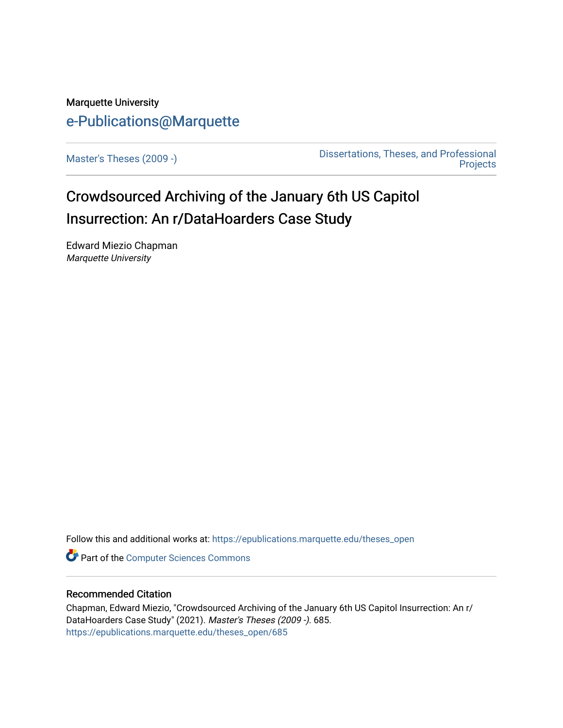# Marquette University [e-Publications@Marquette](https://epublications.marquette.edu/)

[Master's Theses \(2009 -\)](https://epublications.marquette.edu/theses_open) [Dissertations, Theses, and Professional](https://epublications.marquette.edu/diss_theses)  **Projects** 

# Crowdsourced Archiving of the January 6th US Capitol Insurrection: An r/DataHoarders Case Study

Edward Miezio Chapman Marquette University

Follow this and additional works at: [https://epublications.marquette.edu/theses\\_open](https://epublications.marquette.edu/theses_open?utm_source=epublications.marquette.edu%2Ftheses_open%2F685&utm_medium=PDF&utm_campaign=PDFCoverPages) 

**Part of the [Computer Sciences Commons](http://network.bepress.com/hgg/discipline/142?utm_source=epublications.marquette.edu%2Ftheses_open%2F685&utm_medium=PDF&utm_campaign=PDFCoverPages)** 

# Recommended Citation

Chapman, Edward Miezio, "Crowdsourced Archiving of the January 6th US Capitol Insurrection: An r/ DataHoarders Case Study" (2021). Master's Theses (2009 -). 685. [https://epublications.marquette.edu/theses\\_open/685](https://epublications.marquette.edu/theses_open/685?utm_source=epublications.marquette.edu%2Ftheses_open%2F685&utm_medium=PDF&utm_campaign=PDFCoverPages)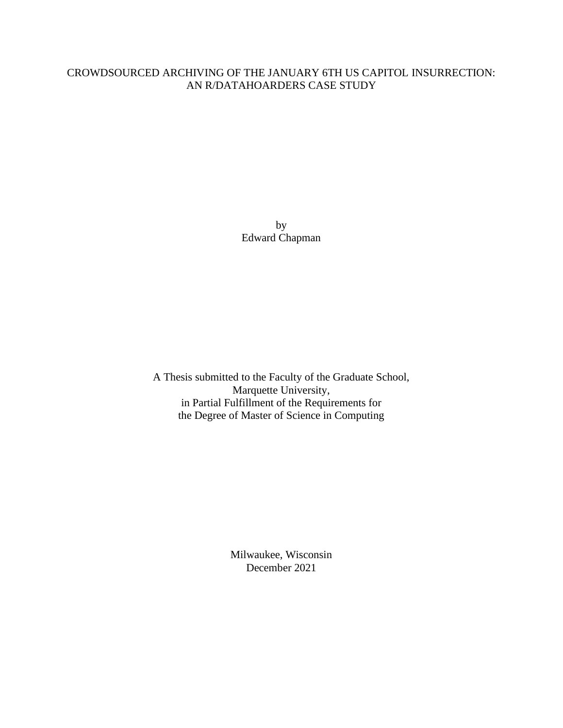# CROWDSOURCED ARCHIVING OF THE JANUARY 6TH US CAPITOL INSURRECTION: AN R/DATAHOARDERS CASE STUDY

by Edward Chapman

A Thesis submitted to the Faculty of the Graduate School, Marquette University, in Partial Fulfillment of the Requirements for the Degree of Master of Science in Computing

> Milwaukee, Wisconsin December 2021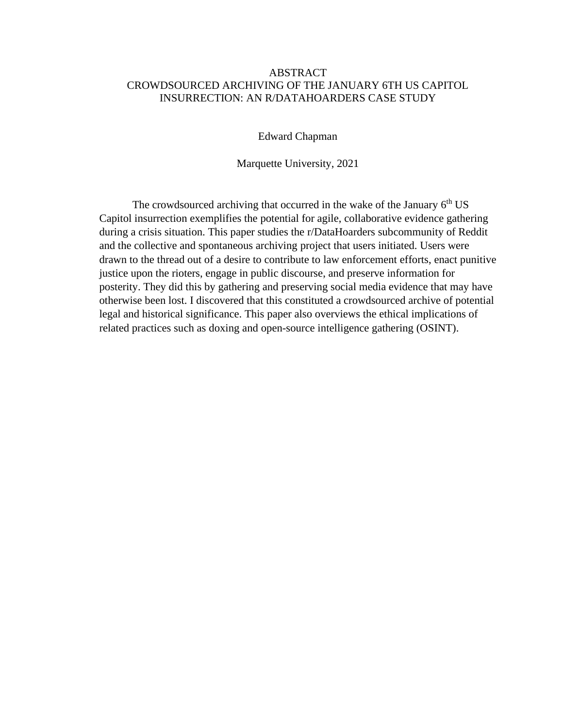# ABSTRACT CROWDSOURCED ARCHIVING OF THE JANUARY 6TH US CAPITOL INSURRECTION: AN R/DATAHOARDERS CASE STUDY

Edward Chapman

Marquette University, 2021

The crowdsourced archiving that occurred in the wake of the January 6<sup>th</sup> US Capitol insurrection exemplifies the potential for agile, collaborative evidence gathering during a crisis situation. This paper studies the r/DataHoarders subcommunity of Reddit and the collective and spontaneous archiving project that users initiated. Users were drawn to the thread out of a desire to contribute to law enforcement efforts, enact punitive justice upon the rioters, engage in public discourse, and preserve information for posterity. They did this by gathering and preserving social media evidence that may have otherwise been lost. I discovered that this constituted a crowdsourced archive of potential legal and historical significance. This paper also overviews the ethical implications of related practices such as doxing and open-source intelligence gathering (OSINT).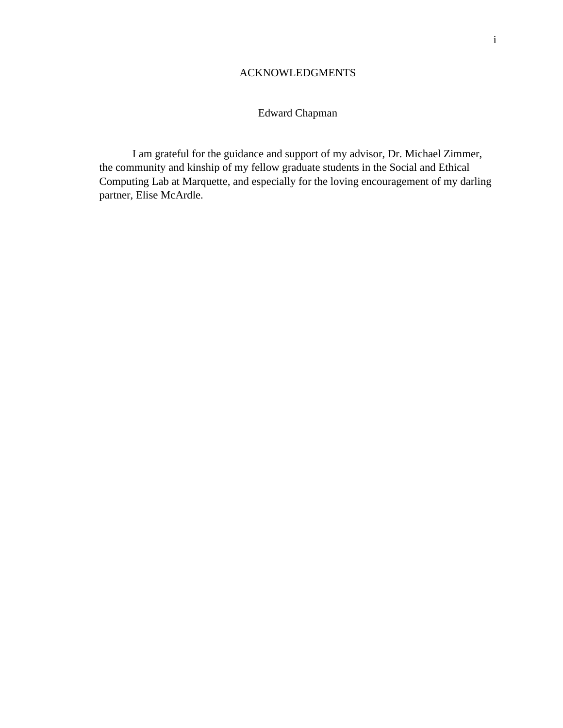# ACKNOWLEDGMENTS

# Edward Chapman

I am grateful for the guidance and support of my advisor, Dr. Michael Zimmer, the community and kinship of my fellow graduate students in the Social and Ethical Computing Lab at Marquette, and especially for the loving encouragement of my darling partner, Elise McArdle.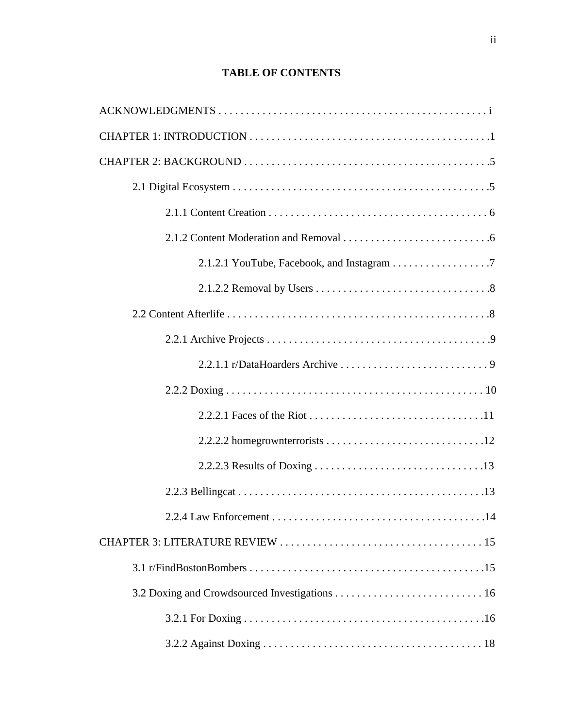# **TABLE OF CONTENTS**

| 2.1.2.1 YouTube, Facebook, and Instagram 7 |
|--------------------------------------------|
|                                            |
|                                            |
|                                            |
|                                            |
|                                            |
|                                            |
|                                            |
|                                            |
|                                            |
| .14                                        |
|                                            |
|                                            |
|                                            |
|                                            |
|                                            |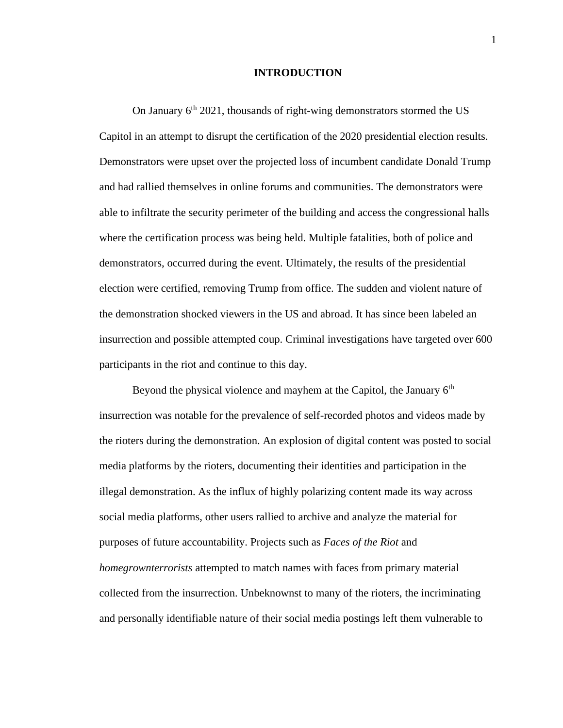## **INTRODUCTION**

On January  $6<sup>th</sup> 2021$ , thousands of right-wing demonstrators stormed the US Capitol in an attempt to disrupt the certification of the 2020 presidential election results. Demonstrators were upset over the projected loss of incumbent candidate Donald Trump and had rallied themselves in online forums and communities. The demonstrators were able to infiltrate the security perimeter of the building and access the congressional halls where the certification process was being held. Multiple fatalities, both of police and demonstrators, occurred during the event. Ultimately, the results of the presidential election were certified, removing Trump from office. The sudden and violent nature of the demonstration shocked viewers in the US and abroad. It has since been labeled an insurrection and possible attempted coup. Criminal investigations have targeted over 600 participants in the riot and continue to this day.

Beyond the physical violence and mayhem at the Capitol, the January  $6<sup>th</sup>$ insurrection was notable for the prevalence of self-recorded photos and videos made by the rioters during the demonstration. An explosion of digital content was posted to social media platforms by the rioters, documenting their identities and participation in the illegal demonstration. As the influx of highly polarizing content made its way across social media platforms, other users rallied to archive and analyze the material for purposes of future accountability. Projects such as *Faces of the Riot* and *homegrownterrorists* attempted to match names with faces from primary material collected from the insurrection. Unbeknownst to many of the rioters, the incriminating and personally identifiable nature of their social media postings left them vulnerable to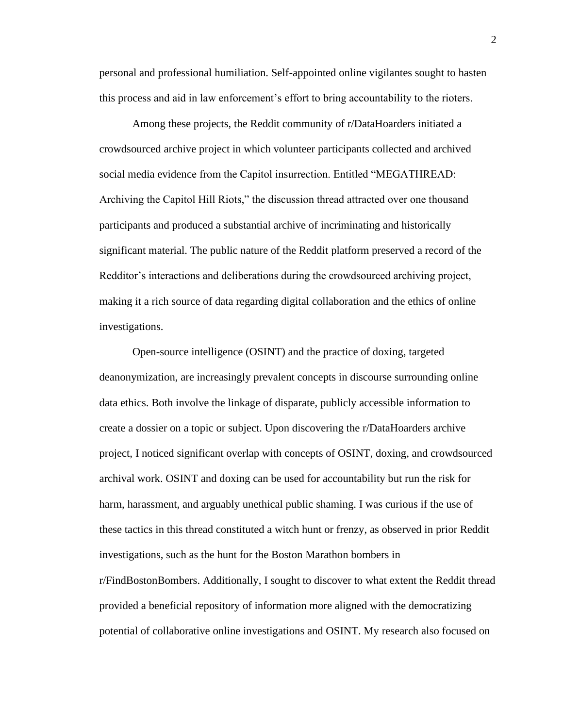personal and professional humiliation. Self-appointed online vigilantes sought to hasten this process and aid in law enforcement's effort to bring accountability to the rioters.

Among these projects, the Reddit community of r/DataHoarders initiated a crowdsourced archive project in which volunteer participants collected and archived social media evidence from the Capitol insurrection. Entitled "MEGATHREAD: Archiving the Capitol Hill Riots," the discussion thread attracted over one thousand participants and produced a substantial archive of incriminating and historically significant material. The public nature of the Reddit platform preserved a record of the Redditor's interactions and deliberations during the crowdsourced archiving project, making it a rich source of data regarding digital collaboration and the ethics of online investigations.

Open-source intelligence (OSINT) and the practice of doxing, targeted deanonymization, are increasingly prevalent concepts in discourse surrounding online data ethics. Both involve the linkage of disparate, publicly accessible information to create a dossier on a topic or subject. Upon discovering the r/DataHoarders archive project, I noticed significant overlap with concepts of OSINT, doxing, and crowdsourced archival work. OSINT and doxing can be used for accountability but run the risk for harm, harassment, and arguably unethical public shaming. I was curious if the use of these tactics in this thread constituted a witch hunt or frenzy, as observed in prior Reddit investigations, such as the hunt for the Boston Marathon bombers in r/FindBostonBombers. Additionally, I sought to discover to what extent the Reddit thread provided a beneficial repository of information more aligned with the democratizing potential of collaborative online investigations and OSINT. My research also focused on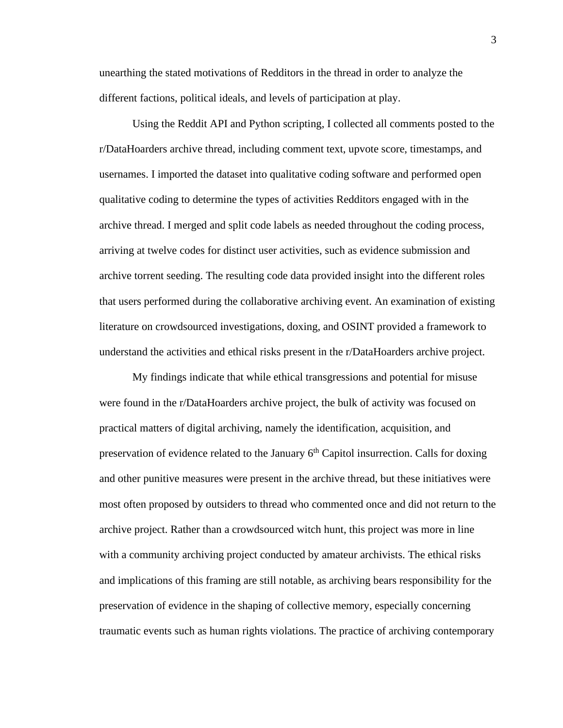unearthing the stated motivations of Redditors in the thread in order to analyze the different factions, political ideals, and levels of participation at play.

Using the Reddit API and Python scripting, I collected all comments posted to the r/DataHoarders archive thread, including comment text, upvote score, timestamps, and usernames. I imported the dataset into qualitative coding software and performed open qualitative coding to determine the types of activities Redditors engaged with in the archive thread. I merged and split code labels as needed throughout the coding process, arriving at twelve codes for distinct user activities, such as evidence submission and archive torrent seeding. The resulting code data provided insight into the different roles that users performed during the collaborative archiving event. An examination of existing literature on crowdsourced investigations, doxing, and OSINT provided a framework to understand the activities and ethical risks present in the r/DataHoarders archive project.

My findings indicate that while ethical transgressions and potential for misuse were found in the r/DataHoarders archive project, the bulk of activity was focused on practical matters of digital archiving, namely the identification, acquisition, and preservation of evidence related to the January  $6<sup>th</sup>$  Capitol insurrection. Calls for doxing and other punitive measures were present in the archive thread, but these initiatives were most often proposed by outsiders to thread who commented once and did not return to the archive project. Rather than a crowdsourced witch hunt, this project was more in line with a community archiving project conducted by amateur archivists. The ethical risks and implications of this framing are still notable, as archiving bears responsibility for the preservation of evidence in the shaping of collective memory, especially concerning traumatic events such as human rights violations. The practice of archiving contemporary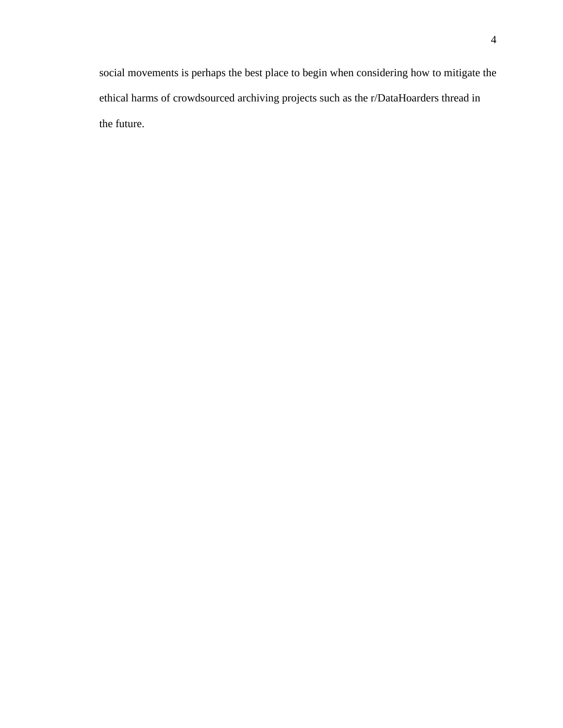social movements is perhaps the best place to begin when considering how to mitigate the ethical harms of crowdsourced archiving projects such as the r/DataHoarders thread in the future.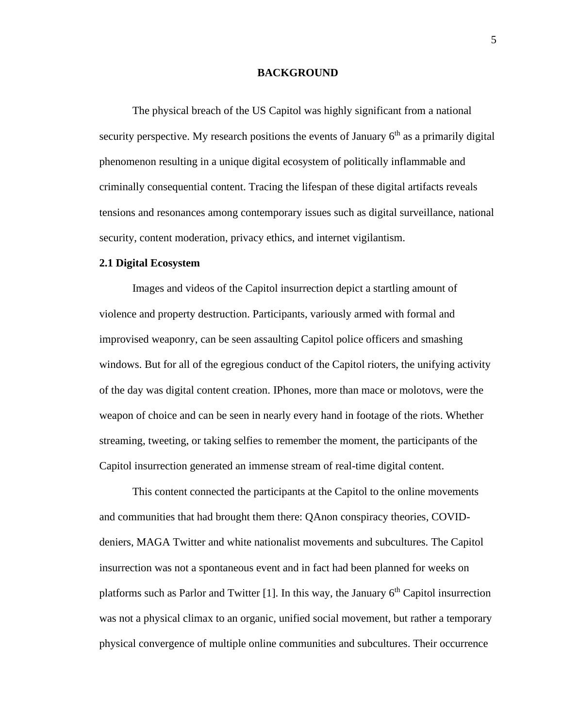#### **BACKGROUND**

The physical breach of the US Capitol was highly significant from a national security perspective. My research positions the events of January  $6<sup>th</sup>$  as a primarily digital phenomenon resulting in a unique digital ecosystem of politically inflammable and criminally consequential content. Tracing the lifespan of these digital artifacts reveals tensions and resonances among contemporary issues such as digital surveillance, national security, content moderation, privacy ethics, and internet vigilantism.

# **2.1 Digital Ecosystem**

Images and videos of the Capitol insurrection depict a startling amount of violence and property destruction. Participants, variously armed with formal and improvised weaponry, can be seen assaulting Capitol police officers and smashing windows. But for all of the egregious conduct of the Capitol rioters, the unifying activity of the day was digital content creation. IPhones, more than mace or molotovs, were the weapon of choice and can be seen in nearly every hand in footage of the riots. Whether streaming, tweeting, or taking selfies to remember the moment, the participants of the Capitol insurrection generated an immense stream of real-time digital content.

This content connected the participants at the Capitol to the online movements and communities that had brought them there: QAnon conspiracy theories, COVIDdeniers, MAGA Twitter and white nationalist movements and subcultures. The Capitol insurrection was not a spontaneous event and in fact had been planned for weeks on platforms such as Parlor and Twitter [1]. In this way, the January 6<sup>th</sup> Capitol insurrection was not a physical climax to an organic, unified social movement, but rather a temporary physical convergence of multiple online communities and subcultures. Their occurrence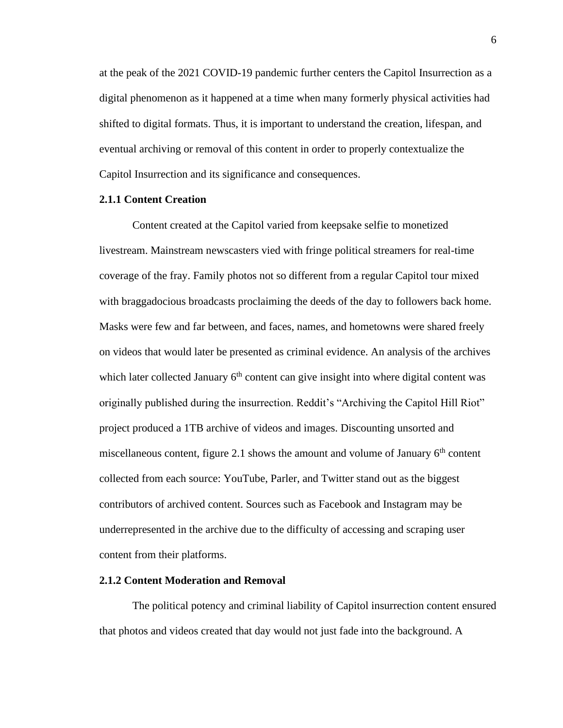at the peak of the 2021 COVID-19 pandemic further centers the Capitol Insurrection as a digital phenomenon as it happened at a time when many formerly physical activities had shifted to digital formats. Thus, it is important to understand the creation, lifespan, and eventual archiving or removal of this content in order to properly contextualize the Capitol Insurrection and its significance and consequences.

# **2.1.1 Content Creation**

Content created at the Capitol varied from keepsake selfie to monetized livestream. Mainstream newscasters vied with fringe political streamers for real-time coverage of the fray. Family photos not so different from a regular Capitol tour mixed with braggadocious broadcasts proclaiming the deeds of the day to followers back home. Masks were few and far between, and faces, names, and hometowns were shared freely on videos that would later be presented as criminal evidence. An analysis of the archives which later collected January  $6<sup>th</sup>$  content can give insight into where digital content was originally published during the insurrection. Reddit's "Archiving the Capitol Hill Riot" project produced a 1TB archive of videos and images. Discounting unsorted and miscellaneous content, figure 2.1 shows the amount and volume of January  $6<sup>th</sup>$  content collected from each source: YouTube, Parler, and Twitter stand out as the biggest contributors of archived content. Sources such as Facebook and Instagram may be underrepresented in the archive due to the difficulty of accessing and scraping user content from their platforms.

#### **2.1.2 Content Moderation and Removal**

The political potency and criminal liability of Capitol insurrection content ensured that photos and videos created that day would not just fade into the background. A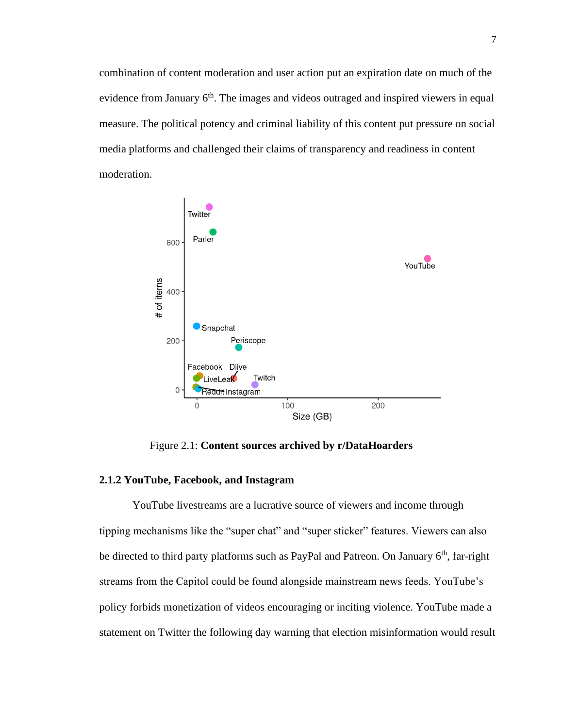combination of content moderation and user action put an expiration date on much of the evidence from January  $6<sup>th</sup>$ . The images and videos outraged and inspired viewers in equal measure. The political potency and criminal liability of this content put pressure on social media platforms and challenged their claims of transparency and readiness in content moderation.



Figure 2.1: **Content sources archived by r/DataHoarders**

# **2.1.2 YouTube, Facebook, and Instagram**

YouTube livestreams are a lucrative source of viewers and income through tipping mechanisms like the "super chat" and "super sticker" features. Viewers can also be directed to third party platforms such as PayPal and Patreon. On January  $6<sup>th</sup>$ , far-right streams from the Capitol could be found alongside mainstream news feeds. YouTube's policy forbids monetization of videos encouraging or inciting violence. YouTube made a statement on Twitter the following day warning that election misinformation would result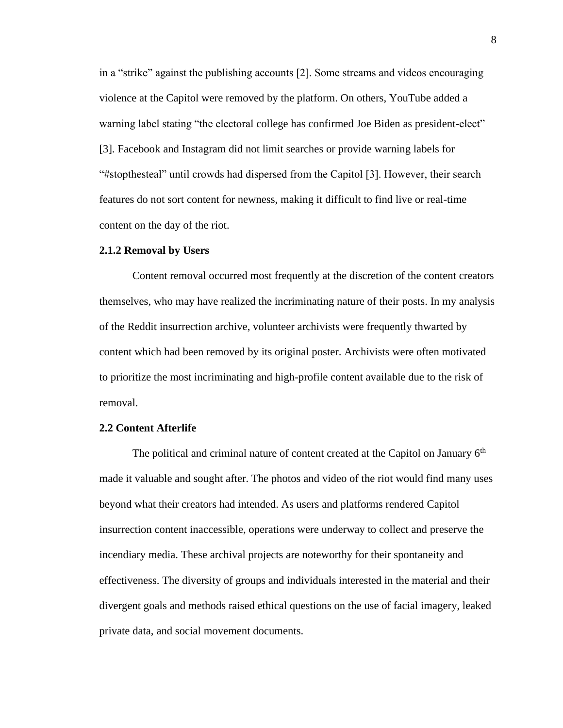in a "strike" against the publishing accounts [2]. Some streams and videos encouraging violence at the Capitol were removed by the platform. On others, YouTube added a warning label stating "the electoral college has confirmed Joe Biden as president-elect" [3]. Facebook and Instagram did not limit searches or provide warning labels for "#stopthesteal" until crowds had dispersed from the Capitol [3]. However, their search features do not sort content for newness, making it difficult to find live or real-time content on the day of the riot.

## **2.1.2 Removal by Users**

Content removal occurred most frequently at the discretion of the content creators themselves, who may have realized the incriminating nature of their posts. In my analysis of the Reddit insurrection archive, volunteer archivists were frequently thwarted by content which had been removed by its original poster. Archivists were often motivated to prioritize the most incriminating and high-profile content available due to the risk of removal.

# **2.2 Content Afterlife**

The political and criminal nature of content created at the Capitol on January  $6<sup>th</sup>$ made it valuable and sought after. The photos and video of the riot would find many uses beyond what their creators had intended. As users and platforms rendered Capitol insurrection content inaccessible, operations were underway to collect and preserve the incendiary media. These archival projects are noteworthy for their spontaneity and effectiveness. The diversity of groups and individuals interested in the material and their divergent goals and methods raised ethical questions on the use of facial imagery, leaked private data, and social movement documents.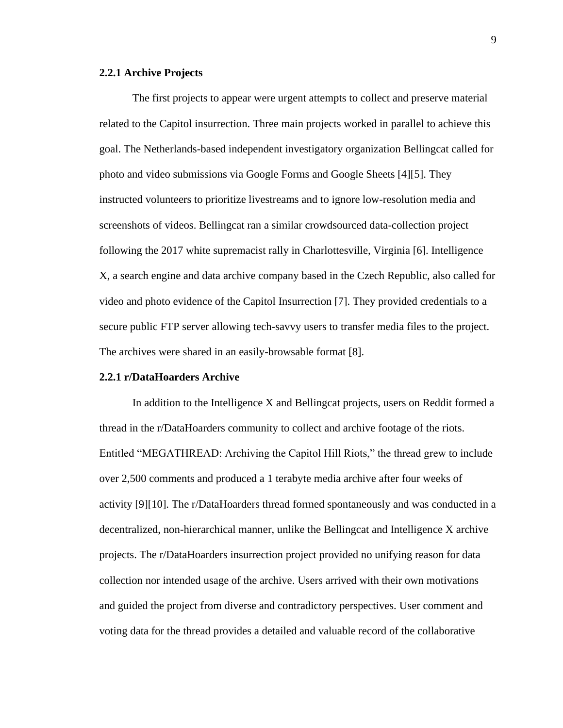#### **2.2.1 Archive Projects**

The first projects to appear were urgent attempts to collect and preserve material related to the Capitol insurrection. Three main projects worked in parallel to achieve this goal. The Netherlands-based independent investigatory organization Bellingcat called for photo and video submissions via Google Forms and Google Sheets [4][5]. They instructed volunteers to prioritize livestreams and to ignore low-resolution media and screenshots of videos. Bellingcat ran a similar crowdsourced data-collection project following the 2017 white supremacist rally in Charlottesville, Virginia [6]. Intelligence X, a search engine and data archive company based in the Czech Republic, also called for video and photo evidence of the Capitol Insurrection [7]. They provided credentials to a secure public FTP server allowing tech-savvy users to transfer media files to the project. The archives were shared in an easily-browsable format [8].

#### **2.2.1 r/DataHoarders Archive**

In addition to the Intelligence X and Bellingcat projects, users on Reddit formed a thread in the r/DataHoarders community to collect and archive footage of the riots. Entitled "MEGATHREAD: Archiving the Capitol Hill Riots," the thread grew to include over 2,500 comments and produced a 1 terabyte media archive after four weeks of activity [9][10]. The r/DataHoarders thread formed spontaneously and was conducted in a decentralized, non-hierarchical manner, unlike the Bellingcat and Intelligence X archive projects. The r/DataHoarders insurrection project provided no unifying reason for data collection nor intended usage of the archive. Users arrived with their own motivations and guided the project from diverse and contradictory perspectives. User comment and voting data for the thread provides a detailed and valuable record of the collaborative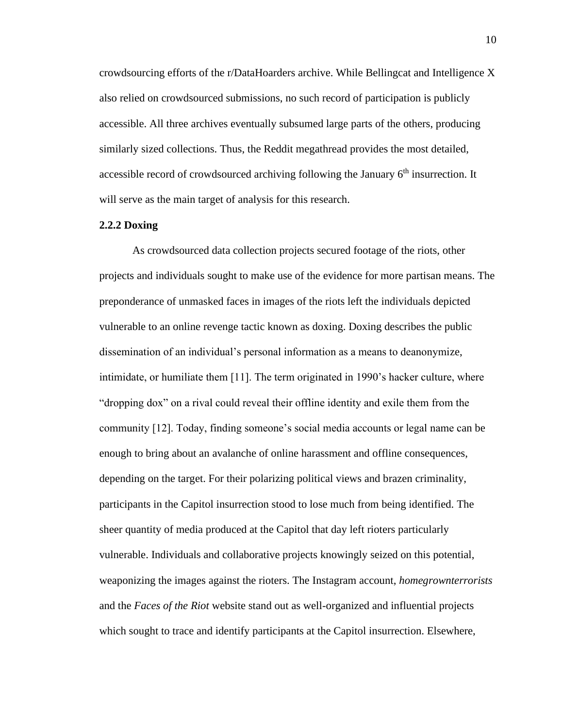crowdsourcing efforts of the r/DataHoarders archive. While Bellingcat and Intelligence X also relied on crowdsourced submissions, no such record of participation is publicly accessible. All three archives eventually subsumed large parts of the others, producing similarly sized collections. Thus, the Reddit megathread provides the most detailed, accessible record of crowdsourced archiving following the January 6<sup>th</sup> insurrection. It will serve as the main target of analysis for this research.

#### **2.2.2 Doxing**

As crowdsourced data collection projects secured footage of the riots, other projects and individuals sought to make use of the evidence for more partisan means. The preponderance of unmasked faces in images of the riots left the individuals depicted vulnerable to an online revenge tactic known as doxing. Doxing describes the public dissemination of an individual's personal information as a means to deanonymize, intimidate, or humiliate them [11]. The term originated in 1990's hacker culture, where "dropping dox" on a rival could reveal their offline identity and exile them from the community [12]. Today, finding someone's social media accounts or legal name can be enough to bring about an avalanche of online harassment and offline consequences, depending on the target. For their polarizing political views and brazen criminality, participants in the Capitol insurrection stood to lose much from being identified. The sheer quantity of media produced at the Capitol that day left rioters particularly vulnerable. Individuals and collaborative projects knowingly seized on this potential, weaponizing the images against the rioters. The Instagram account, *homegrownterrorists* and the *Faces of the Riot* website stand out as well-organized and influential projects which sought to trace and identify participants at the Capitol insurrection. Elsewhere,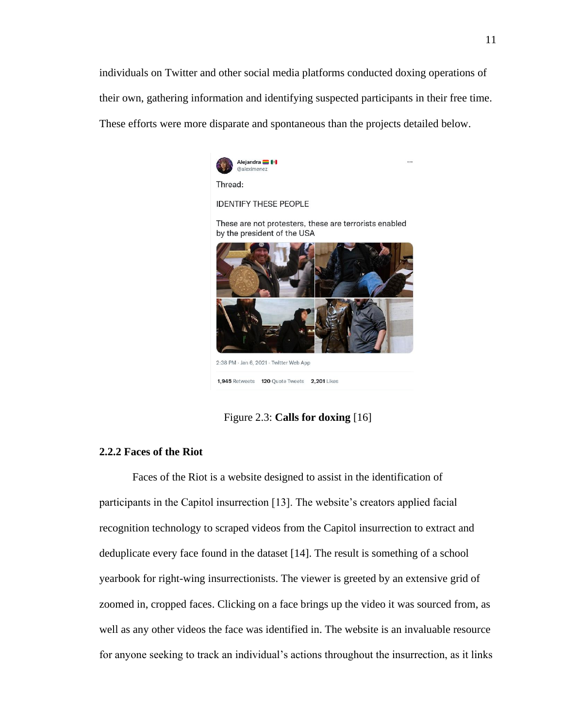individuals on Twitter and other social media platforms conducted doxing operations of their own, gathering information and identifying suspected participants in their free time. These efforts were more disparate and spontaneous than the projects detailed below.



Figure 2.3: **Calls for doxing** [16]

# **2.2.2 Faces of the Riot**

Faces of the Riot is a website designed to assist in the identification of participants in the Capitol insurrection [13]. The website's creators applied facial recognition technology to scraped videos from the Capitol insurrection to extract and deduplicate every face found in the dataset [14]. The result is something of a school yearbook for right-wing insurrectionists. The viewer is greeted by an extensive grid of zoomed in, cropped faces. Clicking on a face brings up the video it was sourced from, as well as any other videos the face was identified in. The website is an invaluable resource for anyone seeking to track an individual's actions throughout the insurrection, as it links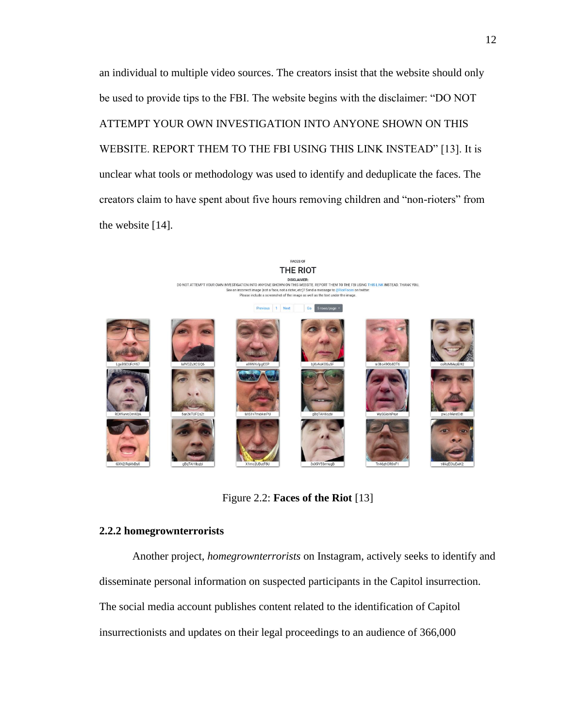an individual to multiple video sources. The creators insist that the website should only be used to provide tips to the FBI. The website begins with the disclaimer: "DO NOT ATTEMPT YOUR OWN INVESTIGATION INTO ANYONE SHOWN ON THIS WEBSITE. REPORT THEM TO THE FBI USING THIS LINK INSTEAD" [13]. It is unclear what tools or methodology was used to identify and deduplicate the faces. The creators claim to have spent about five hours removing children and "non-rioters" from the website [14].



Figure 2.2: **Faces of the Riot** [13]

# **2.2.2 homegrownterrorists**

Another project, *homegrownterrorists* on Instagram, actively seeks to identify and disseminate personal information on suspected participants in the Capitol insurrection. The social media account publishes content related to the identification of Capitol insurrectionists and updates on their legal proceedings to an audience of 366,000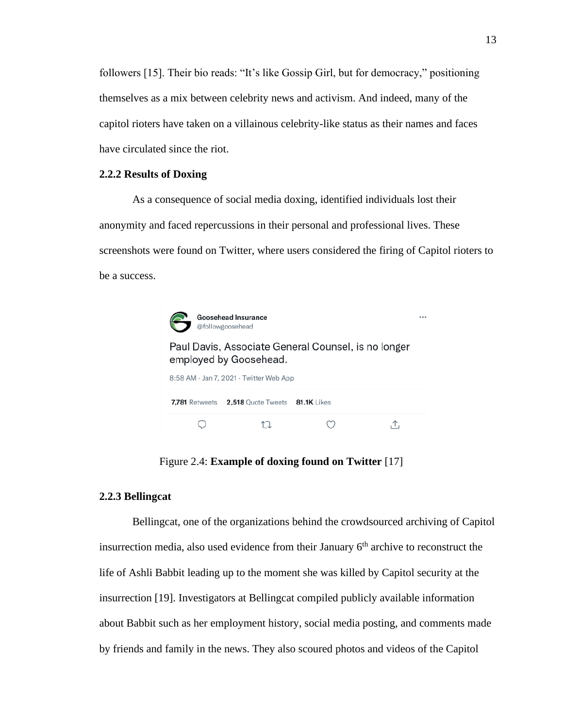followers [15]. Their bio reads: "It's like Gossip Girl, but for democracy," positioning themselves as a mix between celebrity news and activism. And indeed, many of the capitol rioters have taken on a villainous celebrity-like status as their names and faces have circulated since the riot.

#### **2.2.2 Results of Doxing**

As a consequence of social media doxing, identified individuals lost their anonymity and faced repercussions in their personal and professional lives. These screenshots were found on Twitter, where users considered the firing of Capitol rioters to be a success.



Figure 2.4: **Example of doxing found on Twitter** [17]

# **2.2.3 Bellingcat**

Bellingcat, one of the organizations behind the crowdsourced archiving of Capitol insurrection media, also used evidence from their January  $6<sup>th</sup>$  archive to reconstruct the life of Ashli Babbit leading up to the moment she was killed by Capitol security at the insurrection [19]. Investigators at Bellingcat compiled publicly available information about Babbit such as her employment history, social media posting, and comments made by friends and family in the news. They also scoured photos and videos of the Capitol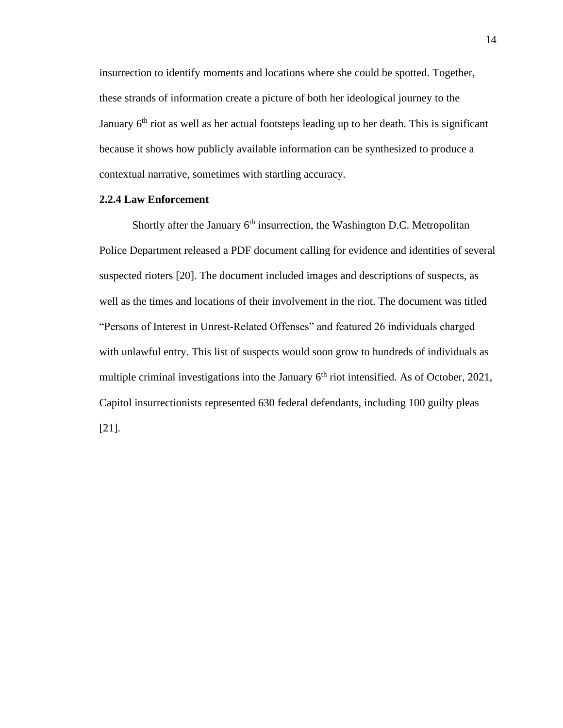insurrection to identify moments and locations where she could be spotted. Together, these strands of information create a picture of both her ideological journey to the January  $6<sup>th</sup>$  riot as well as her actual footsteps leading up to her death. This is significant because it shows how publicly available information can be synthesized to produce a contextual narrative, sometimes with startling accuracy.

# **2.2.4 Law Enforcement**

Shortly after the January 6<sup>th</sup> insurrection, the Washington D.C. Metropolitan Police Department released a PDF document calling for evidence and identities of several suspected rioters [20]. The document included images and descriptions of suspects, as well as the times and locations of their involvement in the riot. The document was titled "Persons of Interest in Unrest-Related Offenses" and featured 26 individuals charged with unlawful entry. This list of suspects would soon grow to hundreds of individuals as multiple criminal investigations into the January  $6<sup>th</sup>$  riot intensified. As of October, 2021, Capitol insurrectionists represented 630 federal defendants, including 100 guilty pleas [21].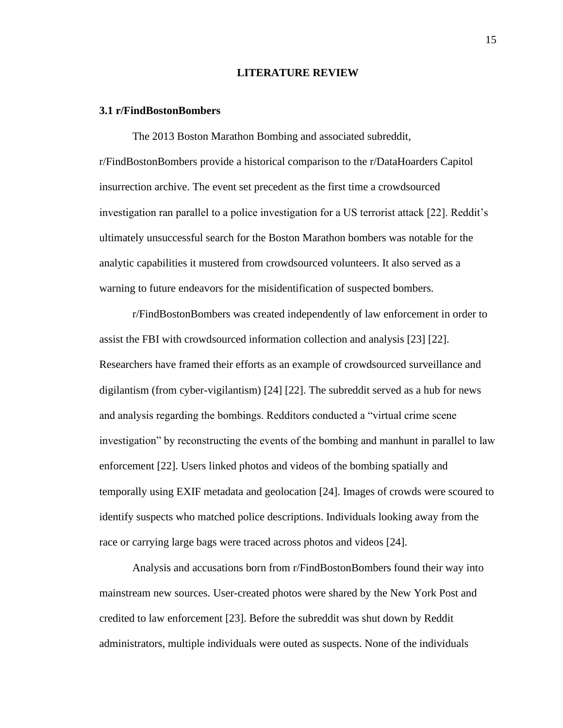#### **LITERATURE REVIEW**

#### **3.1 r/FindBostonBombers**

The 2013 Boston Marathon Bombing and associated subreddit, r/FindBostonBombers provide a historical comparison to the r/DataHoarders Capitol insurrection archive. The event set precedent as the first time a crowdsourced investigation ran parallel to a police investigation for a US terrorist attack [22]. Reddit's ultimately unsuccessful search for the Boston Marathon bombers was notable for the analytic capabilities it mustered from crowdsourced volunteers. It also served as a warning to future endeavors for the misidentification of suspected bombers.

r/FindBostonBombers was created independently of law enforcement in order to assist the FBI with crowdsourced information collection and analysis [23] [22]. Researchers have framed their efforts as an example of crowdsourced surveillance and digilantism (from cyber-vigilantism) [24] [22]. The subreddit served as a hub for news and analysis regarding the bombings. Redditors conducted a "virtual crime scene investigation" by reconstructing the events of the bombing and manhunt in parallel to law enforcement [22]. Users linked photos and videos of the bombing spatially and temporally using EXIF metadata and geolocation [24]. Images of crowds were scoured to identify suspects who matched police descriptions. Individuals looking away from the race or carrying large bags were traced across photos and videos [24].

Analysis and accusations born from r/FindBostonBombers found their way into mainstream new sources. User-created photos were shared by the New York Post and credited to law enforcement [23]. Before the subreddit was shut down by Reddit administrators, multiple individuals were outed as suspects. None of the individuals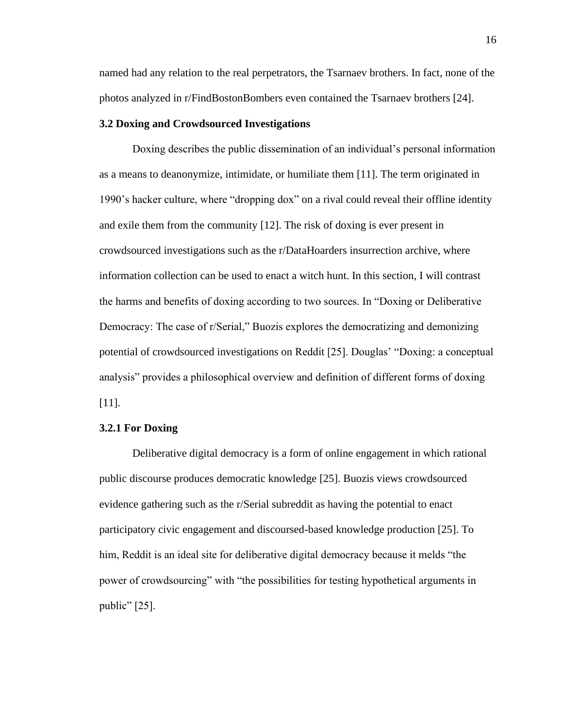named had any relation to the real perpetrators, the Tsarnaev brothers. In fact, none of the photos analyzed in r/FindBostonBombers even contained the Tsarnaev brothers [24].

# **3.2 Doxing and Crowdsourced Investigations**

Doxing describes the public dissemination of an individual's personal information as a means to deanonymize, intimidate, or humiliate them [11]. The term originated in 1990's hacker culture, where "dropping dox" on a rival could reveal their offline identity and exile them from the community [12]. The risk of doxing is ever present in crowdsourced investigations such as the r/DataHoarders insurrection archive, where information collection can be used to enact a witch hunt. In this section, I will contrast the harms and benefits of doxing according to two sources. In "Doxing or Deliberative Democracy: The case of r/Serial," Buozis explores the democratizing and demonizing potential of crowdsourced investigations on Reddit [25]. Douglas' "Doxing: a conceptual analysis" provides a philosophical overview and definition of different forms of doxing [11].

#### **3.2.1 For Doxing**

Deliberative digital democracy is a form of online engagement in which rational public discourse produces democratic knowledge [25]. Buozis views crowdsourced evidence gathering such as the r/Serial subreddit as having the potential to enact participatory civic engagement and discoursed-based knowledge production [25]. To him, Reddit is an ideal site for deliberative digital democracy because it melds "the power of crowdsourcing" with "the possibilities for testing hypothetical arguments in public"  $[25]$ .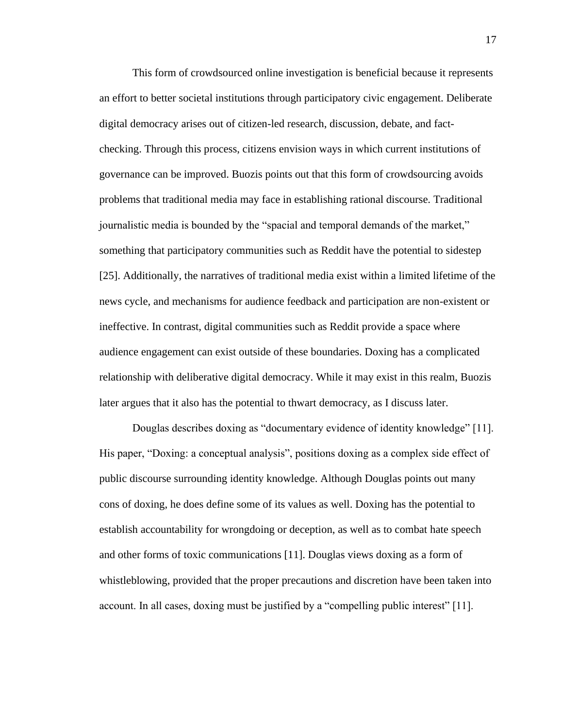This form of crowdsourced online investigation is beneficial because it represents an effort to better societal institutions through participatory civic engagement. Deliberate digital democracy arises out of citizen-led research, discussion, debate, and factchecking. Through this process, citizens envision ways in which current institutions of governance can be improved. Buozis points out that this form of crowdsourcing avoids problems that traditional media may face in establishing rational discourse. Traditional journalistic media is bounded by the "spacial and temporal demands of the market," something that participatory communities such as Reddit have the potential to sidestep [25]. Additionally, the narratives of traditional media exist within a limited lifetime of the news cycle, and mechanisms for audience feedback and participation are non-existent or ineffective. In contrast, digital communities such as Reddit provide a space where audience engagement can exist outside of these boundaries. Doxing has a complicated relationship with deliberative digital democracy. While it may exist in this realm, Buozis later argues that it also has the potential to thwart democracy, as I discuss later.

Douglas describes doxing as "documentary evidence of identity knowledge" [11]. His paper, "Doxing: a conceptual analysis", positions doxing as a complex side effect of public discourse surrounding identity knowledge. Although Douglas points out many cons of doxing, he does define some of its values as well. Doxing has the potential to establish accountability for wrongdoing or deception, as well as to combat hate speech and other forms of toxic communications [11]. Douglas views doxing as a form of whistleblowing, provided that the proper precautions and discretion have been taken into account. In all cases, doxing must be justified by a "compelling public interest" [11].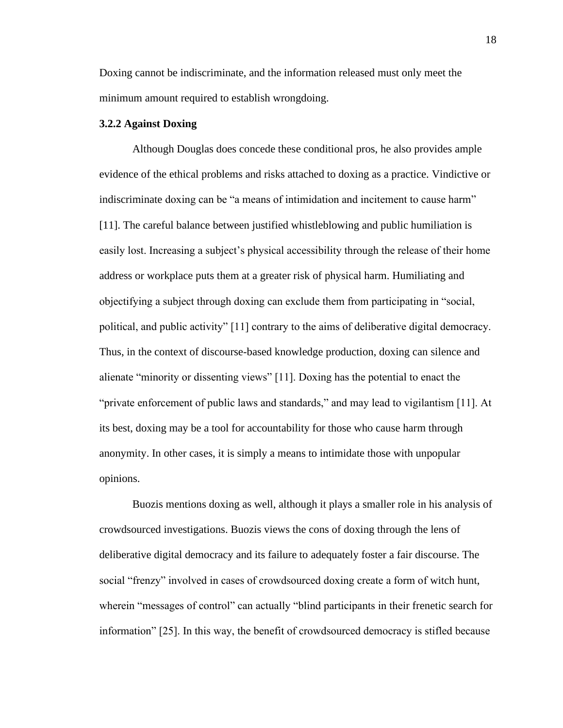Doxing cannot be indiscriminate, and the information released must only meet the minimum amount required to establish wrongdoing.

# **3.2.2 Against Doxing**

Although Douglas does concede these conditional pros, he also provides ample evidence of the ethical problems and risks attached to doxing as a practice. Vindictive or indiscriminate doxing can be "a means of intimidation and incitement to cause harm" [11]. The careful balance between justified whistleblowing and public humiliation is easily lost. Increasing a subject's physical accessibility through the release of their home address or workplace puts them at a greater risk of physical harm. Humiliating and objectifying a subject through doxing can exclude them from participating in "social, political, and public activity" [11] contrary to the aims of deliberative digital democracy. Thus, in the context of discourse-based knowledge production, doxing can silence and alienate "minority or dissenting views" [11]. Doxing has the potential to enact the "private enforcement of public laws and standards," and may lead to vigilantism [11]. At its best, doxing may be a tool for accountability for those who cause harm through anonymity. In other cases, it is simply a means to intimidate those with unpopular opinions.

Buozis mentions doxing as well, although it plays a smaller role in his analysis of crowdsourced investigations. Buozis views the cons of doxing through the lens of deliberative digital democracy and its failure to adequately foster a fair discourse. The social "frenzy" involved in cases of crowdsourced doxing create a form of witch hunt, wherein "messages of control" can actually "blind participants in their frenetic search for information" [25]. In this way, the benefit of crowdsourced democracy is stifled because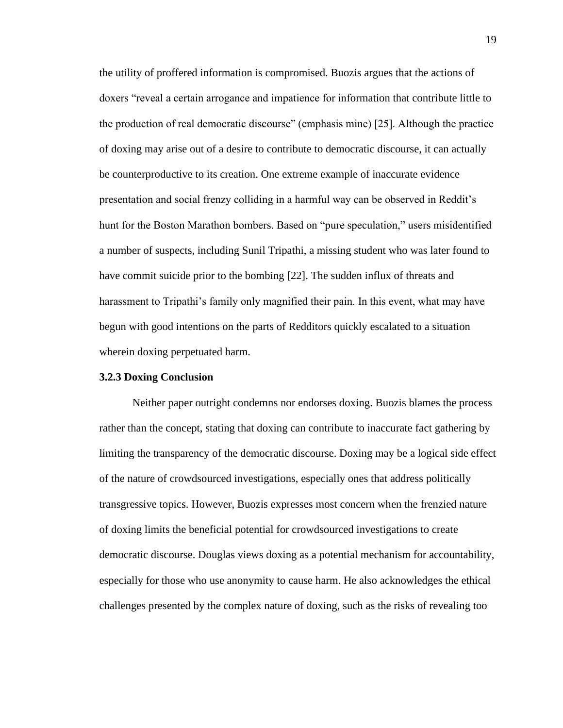the utility of proffered information is compromised. Buozis argues that the actions of doxers "reveal a certain arrogance and impatience for information that contribute little to the production of real democratic discourse" (emphasis mine) [25]. Although the practice of doxing may arise out of a desire to contribute to democratic discourse, it can actually be counterproductive to its creation. One extreme example of inaccurate evidence presentation and social frenzy colliding in a harmful way can be observed in Reddit's hunt for the Boston Marathon bombers. Based on "pure speculation," users misidentified a number of suspects, including Sunil Tripathi, a missing student who was later found to have commit suicide prior to the bombing [22]. The sudden influx of threats and harassment to Tripathi's family only magnified their pain. In this event, what may have begun with good intentions on the parts of Redditors quickly escalated to a situation wherein doxing perpetuated harm.

#### **3.2.3 Doxing Conclusion**

Neither paper outright condemns nor endorses doxing. Buozis blames the process rather than the concept, stating that doxing can contribute to inaccurate fact gathering by limiting the transparency of the democratic discourse. Doxing may be a logical side effect of the nature of crowdsourced investigations, especially ones that address politically transgressive topics. However, Buozis expresses most concern when the frenzied nature of doxing limits the beneficial potential for crowdsourced investigations to create democratic discourse. Douglas views doxing as a potential mechanism for accountability, especially for those who use anonymity to cause harm. He also acknowledges the ethical challenges presented by the complex nature of doxing, such as the risks of revealing too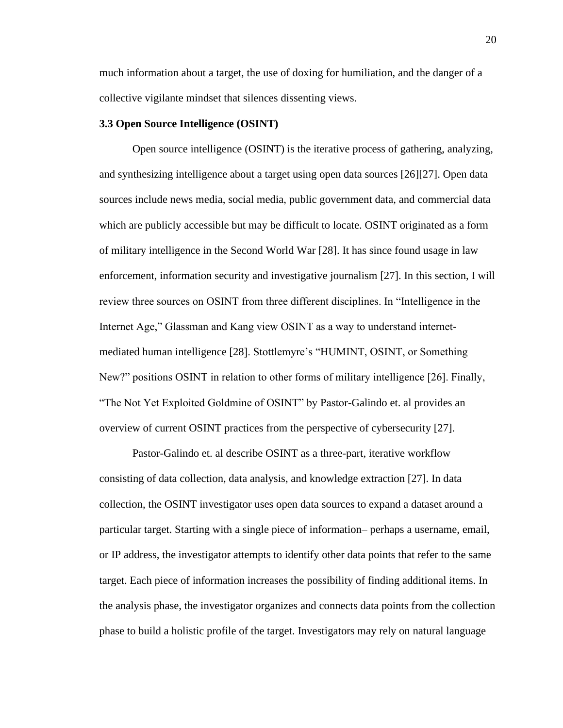much information about a target, the use of doxing for humiliation, and the danger of a collective vigilante mindset that silences dissenting views.

# **3.3 Open Source Intelligence (OSINT)**

Open source intelligence (OSINT) is the iterative process of gathering, analyzing, and synthesizing intelligence about a target using open data sources [26][27]. Open data sources include news media, social media, public government data, and commercial data which are publicly accessible but may be difficult to locate. OSINT originated as a form of military intelligence in the Second World War [28]. It has since found usage in law enforcement, information security and investigative journalism [27]. In this section, I will review three sources on OSINT from three different disciplines. In "Intelligence in the Internet Age," Glassman and Kang view OSINT as a way to understand internetmediated human intelligence [28]. Stottlemyre's "HUMINT, OSINT, or Something New?" positions OSINT in relation to other forms of military intelligence [26]. Finally, "The Not Yet Exploited Goldmine of OSINT" by Pastor-Galindo et. al provides an overview of current OSINT practices from the perspective of cybersecurity [27].

Pastor-Galindo et. al describe OSINT as a three-part, iterative workflow consisting of data collection, data analysis, and knowledge extraction [27]. In data collection, the OSINT investigator uses open data sources to expand a dataset around a particular target. Starting with a single piece of information– perhaps a username, email, or IP address, the investigator attempts to identify other data points that refer to the same target. Each piece of information increases the possibility of finding additional items. In the analysis phase, the investigator organizes and connects data points from the collection phase to build a holistic profile of the target. Investigators may rely on natural language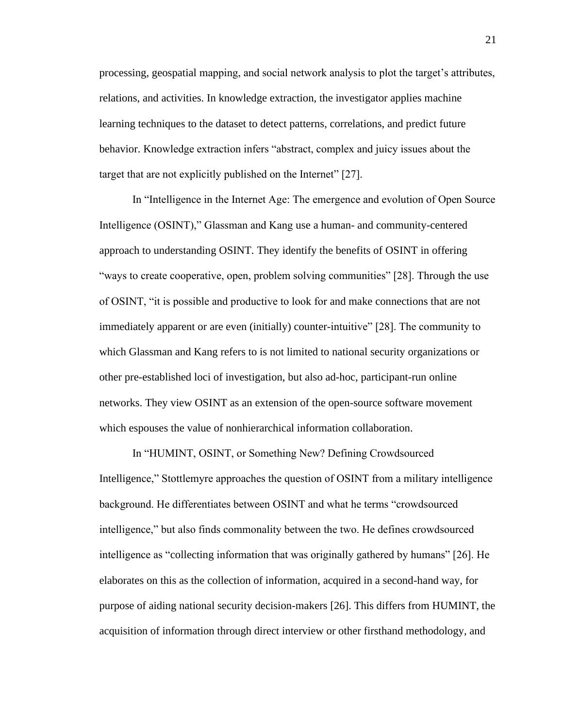processing, geospatial mapping, and social network analysis to plot the target's attributes, relations, and activities. In knowledge extraction, the investigator applies machine learning techniques to the dataset to detect patterns, correlations, and predict future behavior. Knowledge extraction infers "abstract, complex and juicy issues about the target that are not explicitly published on the Internet" [27].

In "Intelligence in the Internet Age: The emergence and evolution of Open Source Intelligence (OSINT)," Glassman and Kang use a human- and community-centered approach to understanding OSINT. They identify the benefits of OSINT in offering "ways to create cooperative, open, problem solving communities" [28]. Through the use of OSINT, "it is possible and productive to look for and make connections that are not immediately apparent or are even (initially) counter-intuitive" [28]. The community to which Glassman and Kang refers to is not limited to national security organizations or other pre-established loci of investigation, but also ad-hoc, participant-run online networks. They view OSINT as an extension of the open-source software movement which espouses the value of nonhierarchical information collaboration.

In "HUMINT, OSINT, or Something New? Defining Crowdsourced Intelligence," Stottlemyre approaches the question of OSINT from a military intelligence background. He differentiates between OSINT and what he terms "crowdsourced intelligence," but also finds commonality between the two. He defines crowdsourced intelligence as "collecting information that was originally gathered by humans" [26]. He elaborates on this as the collection of information, acquired in a second-hand way, for purpose of aiding national security decision-makers [26]. This differs from HUMINT, the acquisition of information through direct interview or other firsthand methodology, and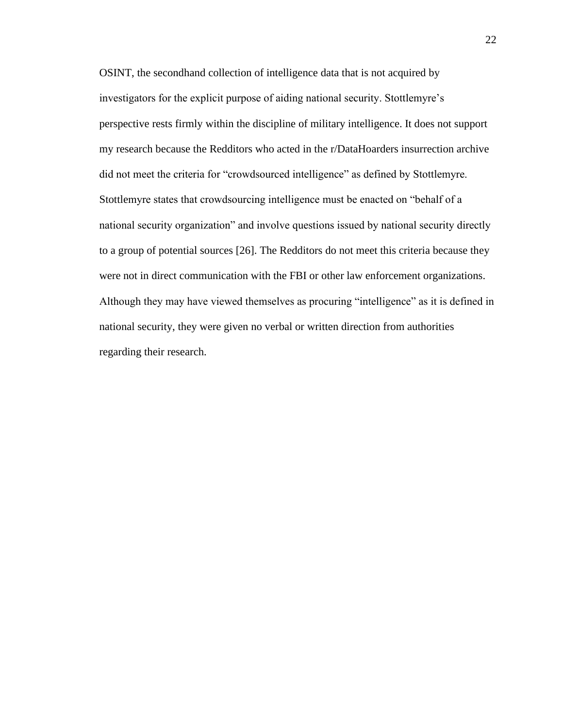OSINT, the secondhand collection of intelligence data that is not acquired by investigators for the explicit purpose of aiding national security. Stottlemyre's perspective rests firmly within the discipline of military intelligence. It does not support my research because the Redditors who acted in the r/DataHoarders insurrection archive did not meet the criteria for "crowdsourced intelligence" as defined by Stottlemyre. Stottlemyre states that crowdsourcing intelligence must be enacted on "behalf of a national security organization" and involve questions issued by national security directly to a group of potential sources [26]. The Redditors do not meet this criteria because they were not in direct communication with the FBI or other law enforcement organizations. Although they may have viewed themselves as procuring "intelligence" as it is defined in national security, they were given no verbal or written direction from authorities regarding their research.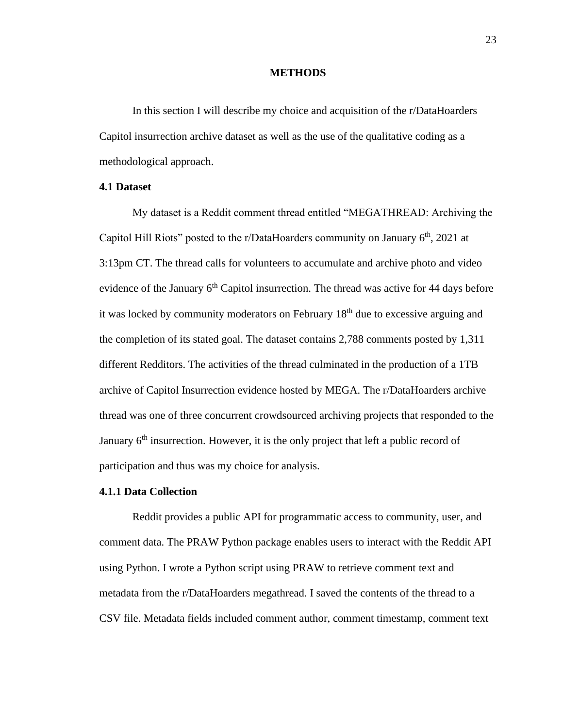### **METHODS**

In this section I will describe my choice and acquisition of the r/DataHoarders Capitol insurrection archive dataset as well as the use of the qualitative coding as a methodological approach.

# **4.1 Dataset**

My dataset is a Reddit comment thread entitled "MEGATHREAD: Archiving the Capitol Hill Riots" posted to the r/DataHoarders community on January  $6<sup>th</sup>$ , 2021 at 3:13pm CT. The thread calls for volunteers to accumulate and archive photo and video evidence of the January 6<sup>th</sup> Capitol insurrection. The thread was active for 44 days before it was locked by community moderators on February 18<sup>th</sup> due to excessive arguing and the completion of its stated goal. The dataset contains 2,788 comments posted by 1,311 different Redditors. The activities of the thread culminated in the production of a 1TB archive of Capitol Insurrection evidence hosted by MEGA. The r/DataHoarders archive thread was one of three concurrent crowdsourced archiving projects that responded to the January 6<sup>th</sup> insurrection. However, it is the only project that left a public record of participation and thus was my choice for analysis.

# **4.1.1 Data Collection**

Reddit provides a public API for programmatic access to community, user, and comment data. The PRAW Python package enables users to interact with the Reddit API using Python. I wrote a Python script using PRAW to retrieve comment text and metadata from the r/DataHoarders megathread. I saved the contents of the thread to a CSV file. Metadata fields included comment author, comment timestamp, comment text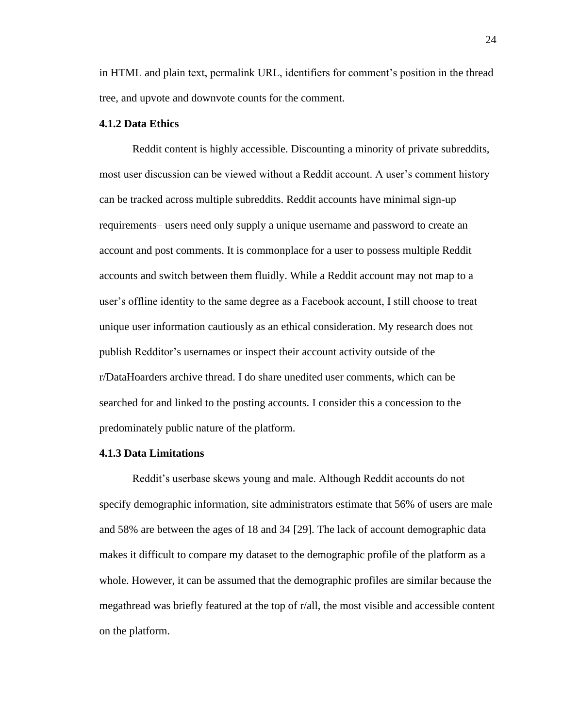in HTML and plain text, permalink URL, identifiers for comment's position in the thread tree, and upvote and downvote counts for the comment.

# **4.1.2 Data Ethics**

Reddit content is highly accessible. Discounting a minority of private subreddits, most user discussion can be viewed without a Reddit account. A user's comment history can be tracked across multiple subreddits. Reddit accounts have minimal sign-up requirements– users need only supply a unique username and password to create an account and post comments. It is commonplace for a user to possess multiple Reddit accounts and switch between them fluidly. While a Reddit account may not map to a user's offline identity to the same degree as a Facebook account, I still choose to treat unique user information cautiously as an ethical consideration. My research does not publish Redditor's usernames or inspect their account activity outside of the r/DataHoarders archive thread. I do share unedited user comments, which can be searched for and linked to the posting accounts. I consider this a concession to the predominately public nature of the platform.

### **4.1.3 Data Limitations**

Reddit's userbase skews young and male. Although Reddit accounts do not specify demographic information, site administrators estimate that 56% of users are male and 58% are between the ages of 18 and 34 [29]. The lack of account demographic data makes it difficult to compare my dataset to the demographic profile of the platform as a whole. However, it can be assumed that the demographic profiles are similar because the megathread was briefly featured at the top of r/all, the most visible and accessible content on the platform.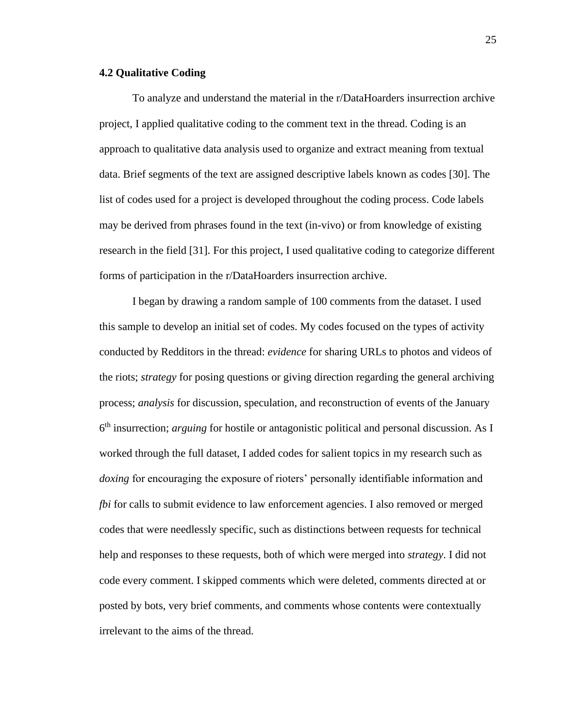# **4.2 Qualitative Coding**

To analyze and understand the material in the r/DataHoarders insurrection archive project, I applied qualitative coding to the comment text in the thread. Coding is an approach to qualitative data analysis used to organize and extract meaning from textual data. Brief segments of the text are assigned descriptive labels known as codes [30]. The list of codes used for a project is developed throughout the coding process. Code labels may be derived from phrases found in the text (in-vivo) or from knowledge of existing research in the field [31]. For this project, I used qualitative coding to categorize different forms of participation in the r/DataHoarders insurrection archive.

I began by drawing a random sample of 100 comments from the dataset. I used this sample to develop an initial set of codes. My codes focused on the types of activity conducted by Redditors in the thread: *evidence* for sharing URLs to photos and videos of the riots; *strategy* for posing questions or giving direction regarding the general archiving process; *analysis* for discussion, speculation, and reconstruction of events of the January 6<sup>th</sup> insurrection; *arguing* for hostile or antagonistic political and personal discussion. As I worked through the full dataset, I added codes for salient topics in my research such as *doxing* for encouraging the exposure of rioters' personally identifiable information and *fbi* for calls to submit evidence to law enforcement agencies. I also removed or merged codes that were needlessly specific, such as distinctions between requests for technical help and responses to these requests, both of which were merged into *strategy*. I did not code every comment. I skipped comments which were deleted, comments directed at or posted by bots, very brief comments, and comments whose contents were contextually irrelevant to the aims of the thread.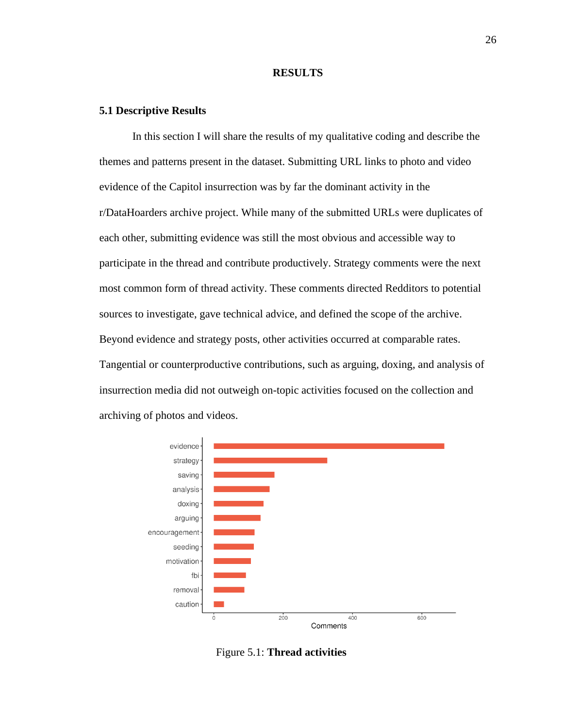#### **RESULTS**

#### **5.1 Descriptive Results**

In this section I will share the results of my qualitative coding and describe the themes and patterns present in the dataset. Submitting URL links to photo and video evidence of the Capitol insurrection was by far the dominant activity in the r/DataHoarders archive project. While many of the submitted URLs were duplicates of each other, submitting evidence was still the most obvious and accessible way to participate in the thread and contribute productively. Strategy comments were the next most common form of thread activity. These comments directed Redditors to potential sources to investigate, gave technical advice, and defined the scope of the archive. Beyond evidence and strategy posts, other activities occurred at comparable rates. Tangential or counterproductive contributions, such as arguing, doxing, and analysis of insurrection media did not outweigh on-topic activities focused on the collection and archiving of photos and videos.



Figure 5.1: **Thread activities**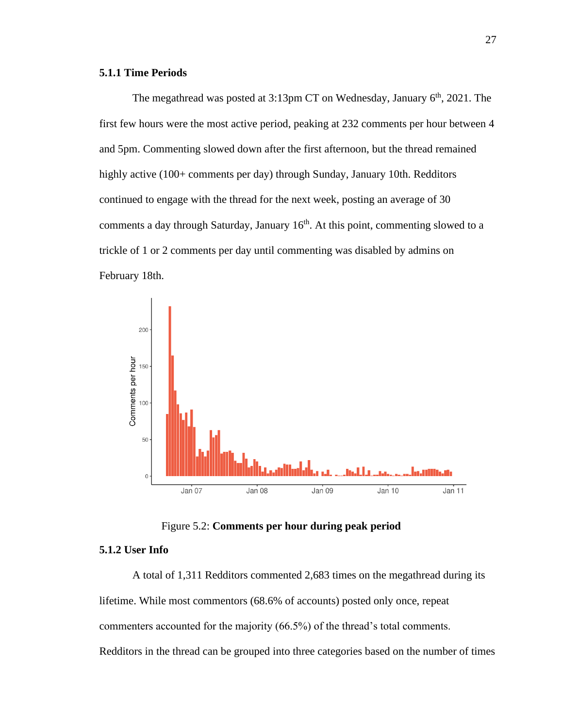# **5.1.1 Time Periods**

The megathread was posted at 3:13pm CT on Wednesday, January 6<sup>th</sup>, 2021. The first few hours were the most active period, peaking at 232 comments per hour between 4 and 5pm. Commenting slowed down after the first afternoon, but the thread remained highly active (100+ comments per day) through Sunday, January 10th. Redditors continued to engage with the thread for the next week, posting an average of 30 comments a day through Saturday, January 16<sup>th</sup>. At this point, commenting slowed to a trickle of 1 or 2 comments per day until commenting was disabled by admins on February 18th.



Figure 5.2: **Comments per hour during peak period**

# **5.1.2 User Info**

A total of 1,311 Redditors commented 2,683 times on the megathread during its lifetime. While most commentors (68.6% of accounts) posted only once, repeat commenters accounted for the majority (66.5%) of the thread's total comments. Redditors in the thread can be grouped into three categories based on the number of times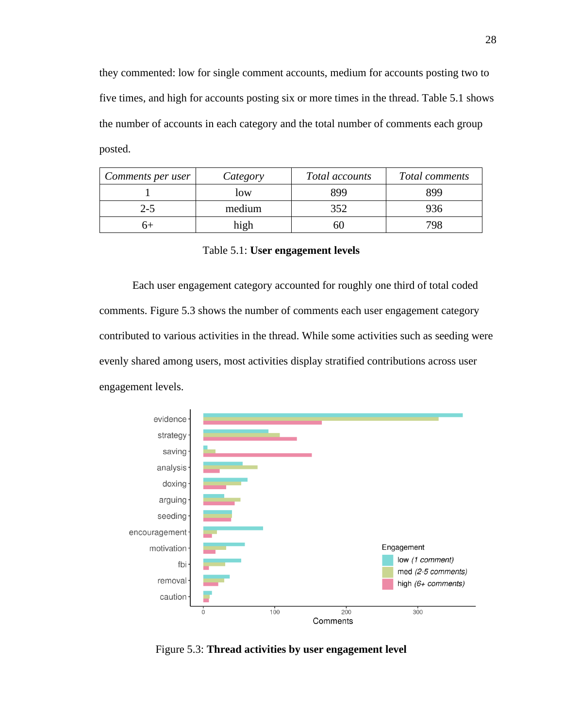they commented: low for single comment accounts, medium for accounts posting two to five times, and high for accounts posting six or more times in the thread. Table 5.1 shows the number of accounts in each category and the total number of comments each group posted.

| Comments per user | Category | Total accounts | Total comments |
|-------------------|----------|----------------|----------------|
|                   | low      | 899            | 899            |
| $2 - 5$           | medium   | 352            | 936            |
|                   | high     | DU.            | 798            |

Table 5.1: **User engagement levels**

Each user engagement category accounted for roughly one third of total coded comments. Figure 5.3 shows the number of comments each user engagement category contributed to various activities in the thread. While some activities such as seeding were evenly shared among users, most activities display stratified contributions across user engagement levels.



Figure 5.3: **Thread activities by user engagement level**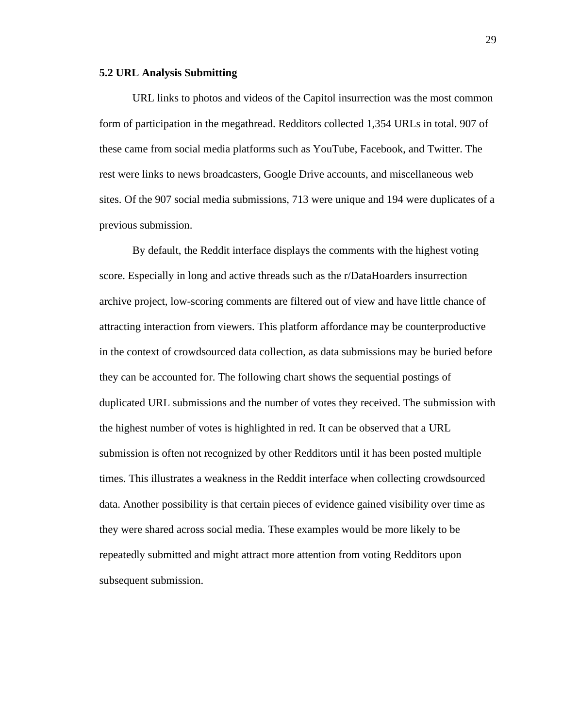#### **5.2 URL Analysis Submitting**

URL links to photos and videos of the Capitol insurrection was the most common form of participation in the megathread. Redditors collected 1,354 URLs in total. 907 of these came from social media platforms such as YouTube, Facebook, and Twitter. The rest were links to news broadcasters, Google Drive accounts, and miscellaneous web sites. Of the 907 social media submissions, 713 were unique and 194 were duplicates of a previous submission.

By default, the Reddit interface displays the comments with the highest voting score. Especially in long and active threads such as the r/DataHoarders insurrection archive project, low-scoring comments are filtered out of view and have little chance of attracting interaction from viewers. This platform affordance may be counterproductive in the context of crowdsourced data collection, as data submissions may be buried before they can be accounted for. The following chart shows the sequential postings of duplicated URL submissions and the number of votes they received. The submission with the highest number of votes is highlighted in red. It can be observed that a URL submission is often not recognized by other Redditors until it has been posted multiple times. This illustrates a weakness in the Reddit interface when collecting crowdsourced data. Another possibility is that certain pieces of evidence gained visibility over time as they were shared across social media. These examples would be more likely to be repeatedly submitted and might attract more attention from voting Redditors upon subsequent submission.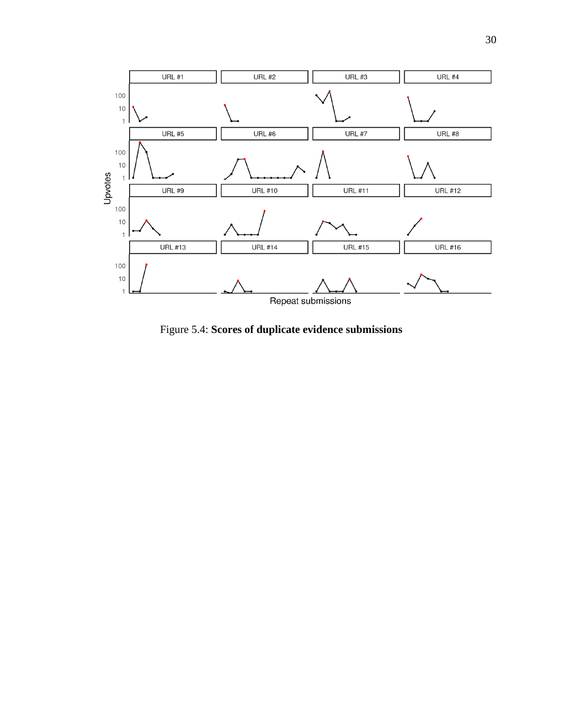

Figure 5.4: **Scores of duplicate evidence submissions**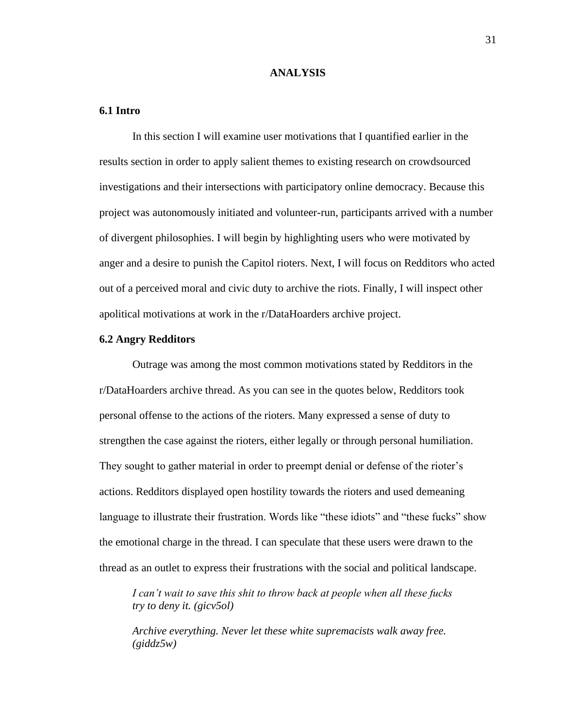#### **ANALYSIS**

# **6.1 Intro**

In this section I will examine user motivations that I quantified earlier in the results section in order to apply salient themes to existing research on crowdsourced investigations and their intersections with participatory online democracy. Because this project was autonomously initiated and volunteer-run, participants arrived with a number of divergent philosophies. I will begin by highlighting users who were motivated by anger and a desire to punish the Capitol rioters. Next, I will focus on Redditors who acted out of a perceived moral and civic duty to archive the riots. Finally, I will inspect other apolitical motivations at work in the r/DataHoarders archive project.

# **6.2 Angry Redditors**

Outrage was among the most common motivations stated by Redditors in the r/DataHoarders archive thread. As you can see in the quotes below, Redditors took personal offense to the actions of the rioters. Many expressed a sense of duty to strengthen the case against the rioters, either legally or through personal humiliation. They sought to gather material in order to preempt denial or defense of the rioter's actions. Redditors displayed open hostility towards the rioters and used demeaning language to illustrate their frustration. Words like "these idiots" and "these fucks" show the emotional charge in the thread. I can speculate that these users were drawn to the thread as an outlet to express their frustrations with the social and political landscape.

*I can't wait to save this shit to throw back at people when all these fucks try to deny it. (gicv5ol)*

*Archive everything. Never let these white supremacists walk away free. (giddz5w)*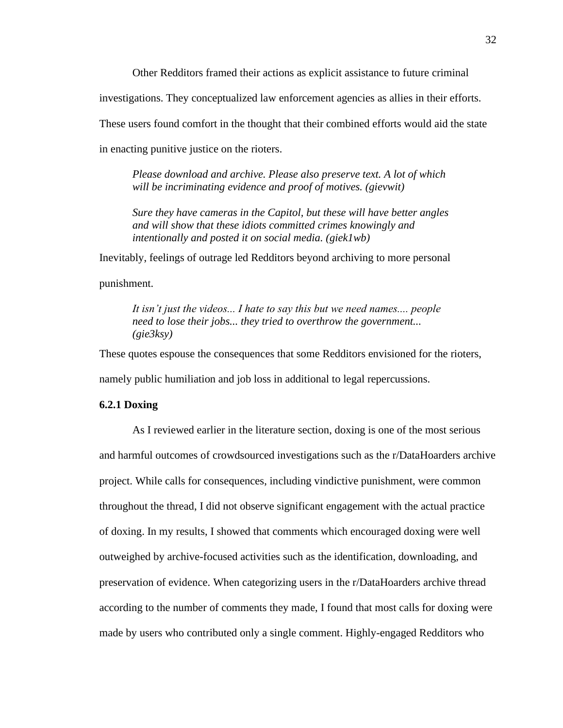Other Redditors framed their actions as explicit assistance to future criminal

investigations. They conceptualized law enforcement agencies as allies in their efforts.

These users found comfort in the thought that their combined efforts would aid the state

in enacting punitive justice on the rioters.

*Please download and archive. Please also preserve text. A lot of which will be incriminating evidence and proof of motives. (gievwit)* 

*Sure they have cameras in the Capitol, but these will have better angles and will show that these idiots committed crimes knowingly and intentionally and posted it on social media. (giek1wb)* 

Inevitably, feelings of outrage led Redditors beyond archiving to more personal

punishment.

*It isn't just the videos... I hate to say this but we need names.... people need to lose their jobs... they tried to overthrow the government... (gie3ksy)* 

These quotes espouse the consequences that some Redditors envisioned for the rioters, namely public humiliation and job loss in additional to legal repercussions.

# **6.2.1 Doxing**

As I reviewed earlier in the literature section, doxing is one of the most serious and harmful outcomes of crowdsourced investigations such as the r/DataHoarders archive project. While calls for consequences, including vindictive punishment, were common throughout the thread, I did not observe significant engagement with the actual practice of doxing. In my results, I showed that comments which encouraged doxing were well outweighed by archive-focused activities such as the identification, downloading, and preservation of evidence. When categorizing users in the r/DataHoarders archive thread according to the number of comments they made, I found that most calls for doxing were made by users who contributed only a single comment. Highly-engaged Redditors who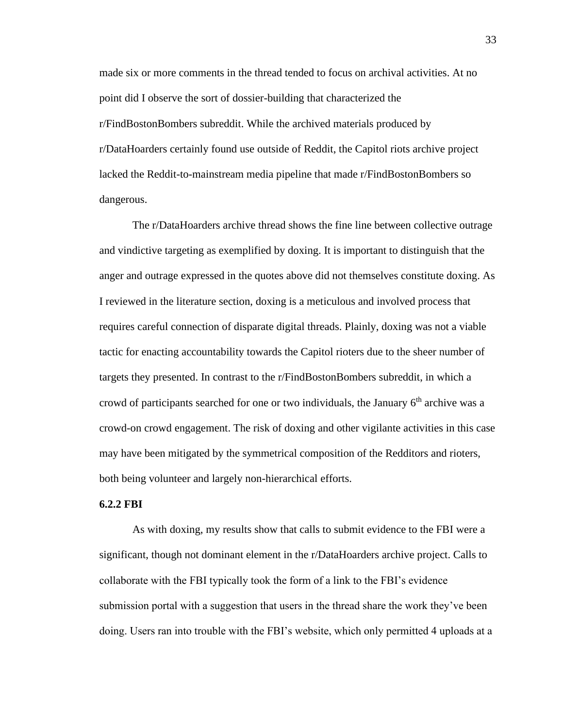made six or more comments in the thread tended to focus on archival activities. At no point did I observe the sort of dossier-building that characterized the r/FindBostonBombers subreddit. While the archived materials produced by r/DataHoarders certainly found use outside of Reddit, the Capitol riots archive project lacked the Reddit-to-mainstream media pipeline that made r/FindBostonBombers so dangerous.

The r/DataHoarders archive thread shows the fine line between collective outrage and vindictive targeting as exemplified by doxing. It is important to distinguish that the anger and outrage expressed in the quotes above did not themselves constitute doxing. As I reviewed in the literature section, doxing is a meticulous and involved process that requires careful connection of disparate digital threads. Plainly, doxing was not a viable tactic for enacting accountability towards the Capitol rioters due to the sheer number of targets they presented. In contrast to the r/FindBostonBombers subreddit, in which a crowd of participants searched for one or two individuals, the January  $6<sup>th</sup>$  archive was a crowd-on crowd engagement. The risk of doxing and other vigilante activities in this case may have been mitigated by the symmetrical composition of the Redditors and rioters, both being volunteer and largely non-hierarchical efforts.

#### **6.2.2 FBI**

As with doxing, my results show that calls to submit evidence to the FBI were a significant, though not dominant element in the r/DataHoarders archive project. Calls to collaborate with the FBI typically took the form of a link to the FBI's evidence submission portal with a suggestion that users in the thread share the work they've been doing. Users ran into trouble with the FBI's website, which only permitted 4 uploads at a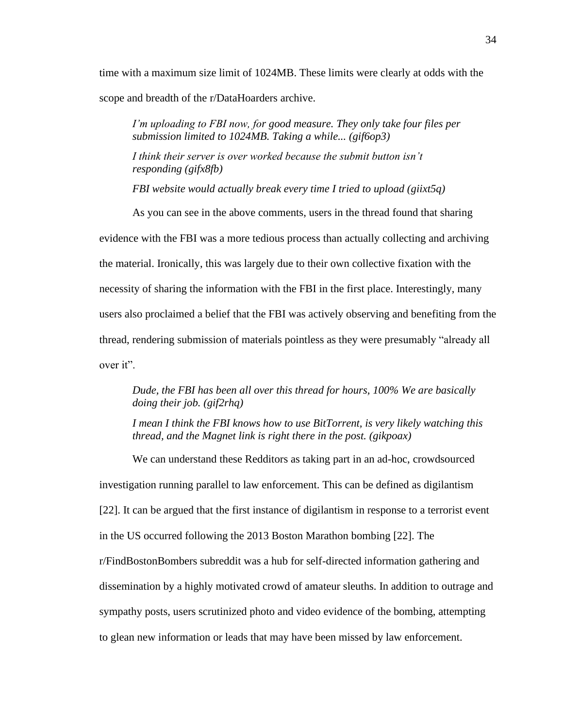time with a maximum size limit of 1024MB. These limits were clearly at odds with the scope and breadth of the r/DataHoarders archive.

*I'm uploading to FBI now, for good measure. They only take four files per submission limited to 1024MB. Taking a while... (gif6op3)*

*I think their server is over worked because the submit button isn't responding (gifx8fb)*

*FBI website would actually break every time I tried to upload (giixt5q)*

As you can see in the above comments, users in the thread found that sharing evidence with the FBI was a more tedious process than actually collecting and archiving the material. Ironically, this was largely due to their own collective fixation with the necessity of sharing the information with the FBI in the first place. Interestingly, many users also proclaimed a belief that the FBI was actively observing and benefiting from the thread, rendering submission of materials pointless as they were presumably "already all over it".

*Dude, the FBI has been all over this thread for hours, 100% We are basically doing their job. (gif2rhq)*

*I mean I think the FBI knows how to use BitTorrent, is very likely watching this thread, and the Magnet link is right there in the post. (gikpoax)*

We can understand these Redditors as taking part in an ad-hoc, crowdsourced investigation running parallel to law enforcement. This can be defined as digilantism [22]. It can be argued that the first instance of digilantism in response to a terrorist event in the US occurred following the 2013 Boston Marathon bombing [22]. The r/FindBostonBombers subreddit was a hub for self-directed information gathering and dissemination by a highly motivated crowd of amateur sleuths. In addition to outrage and sympathy posts, users scrutinized photo and video evidence of the bombing, attempting to glean new information or leads that may have been missed by law enforcement.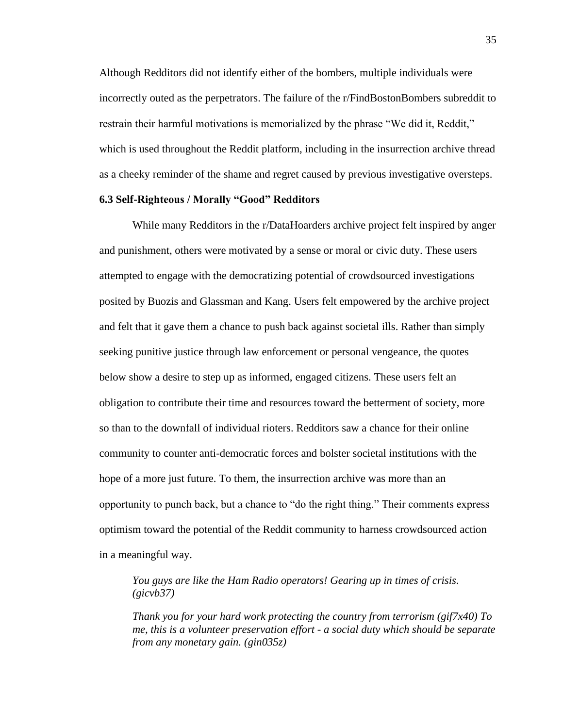Although Redditors did not identify either of the bombers, multiple individuals were incorrectly outed as the perpetrators. The failure of the r/FindBostonBombers subreddit to restrain their harmful motivations is memorialized by the phrase "We did it, Reddit," which is used throughout the Reddit platform, including in the insurrection archive thread as a cheeky reminder of the shame and regret caused by previous investigative oversteps.

# **6.3 Self-Righteous / Morally "Good" Redditors**

While many Redditors in the r/DataHoarders archive project felt inspired by anger and punishment, others were motivated by a sense or moral or civic duty. These users attempted to engage with the democratizing potential of crowdsourced investigations posited by Buozis and Glassman and Kang. Users felt empowered by the archive project and felt that it gave them a chance to push back against societal ills. Rather than simply seeking punitive justice through law enforcement or personal vengeance, the quotes below show a desire to step up as informed, engaged citizens. These users felt an obligation to contribute their time and resources toward the betterment of society, more so than to the downfall of individual rioters. Redditors saw a chance for their online community to counter anti-democratic forces and bolster societal institutions with the hope of a more just future. To them, the insurrection archive was more than an opportunity to punch back, but a chance to "do the right thing." Their comments express optimism toward the potential of the Reddit community to harness crowdsourced action in a meaningful way.

*You guys are like the Ham Radio operators! Gearing up in times of crisis. (gicvb37)* 

*Thank you for your hard work protecting the country from terrorism (gif7x40) To me, this is a volunteer preservation effort - a social duty which should be separate from any monetary gain. (gin035z)*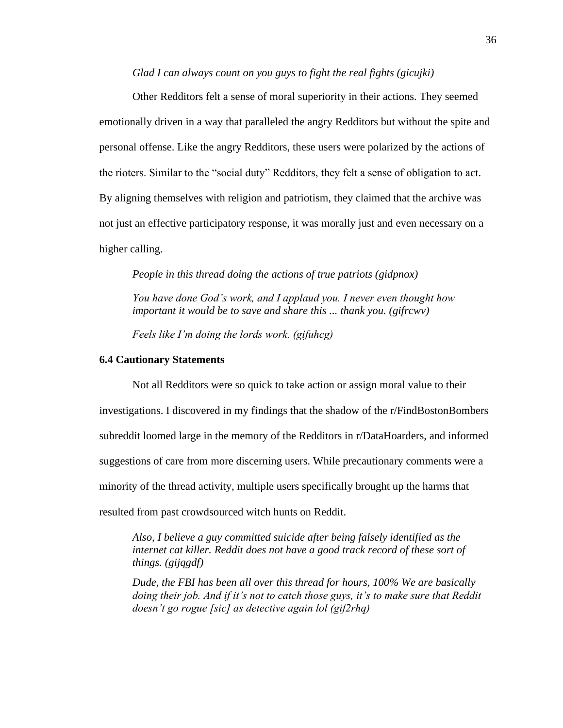# *Glad I can always count on you guys to fight the real fights (gicujki)*

Other Redditors felt a sense of moral superiority in their actions. They seemed emotionally driven in a way that paralleled the angry Redditors but without the spite and personal offense. Like the angry Redditors, these users were polarized by the actions of the rioters. Similar to the "social duty" Redditors, they felt a sense of obligation to act. By aligning themselves with religion and patriotism, they claimed that the archive was not just an effective participatory response, it was morally just and even necessary on a higher calling.

*People in this thread doing the actions of true patriots (gidpnox)* 

*You have done God's work, and I applaud you. I never even thought how important it would be to save and share this ... thank you. (gifrcwv)*

*Feels like I'm doing the lords work. (gifuhcg)*

# **6.4 Cautionary Statements**

Not all Redditors were so quick to take action or assign moral value to their investigations. I discovered in my findings that the shadow of the r/FindBostonBombers subreddit loomed large in the memory of the Redditors in r/DataHoarders, and informed suggestions of care from more discerning users. While precautionary comments were a minority of the thread activity, multiple users specifically brought up the harms that resulted from past crowdsourced witch hunts on Reddit.

*Also, I believe a guy committed suicide after being falsely identified as the*  internet cat killer. Reddit does not have a good track record of these sort of *things. (gijqgdf)*

*Dude, the FBI has been all over this thread for hours, 100% We are basically doing their job. And if it's not to catch those guys, it's to make sure that Reddit doesn't go rogue [sic] as detective again lol (gif2rhq)*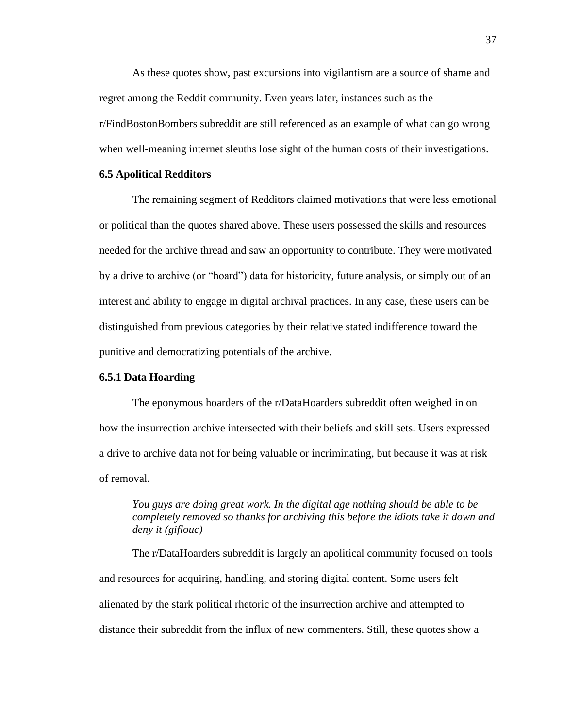As these quotes show, past excursions into vigilantism are a source of shame and regret among the Reddit community. Even years later, instances such as the r/FindBostonBombers subreddit are still referenced as an example of what can go wrong when well-meaning internet sleuths lose sight of the human costs of their investigations.

#### **6.5 Apolitical Redditors**

The remaining segment of Redditors claimed motivations that were less emotional or political than the quotes shared above. These users possessed the skills and resources needed for the archive thread and saw an opportunity to contribute. They were motivated by a drive to archive (or "hoard") data for historicity, future analysis, or simply out of an interest and ability to engage in digital archival practices. In any case, these users can be distinguished from previous categories by their relative stated indifference toward the punitive and democratizing potentials of the archive.

# **6.5.1 Data Hoarding**

The eponymous hoarders of the r/DataHoarders subreddit often weighed in on how the insurrection archive intersected with their beliefs and skill sets. Users expressed a drive to archive data not for being valuable or incriminating, but because it was at risk of removal.

*You guys are doing great work. In the digital age nothing should be able to be completely removed so thanks for archiving this before the idiots take it down and deny it (giflouc)* 

The r/DataHoarders subreddit is largely an apolitical community focused on tools and resources for acquiring, handling, and storing digital content. Some users felt alienated by the stark political rhetoric of the insurrection archive and attempted to distance their subreddit from the influx of new commenters. Still, these quotes show a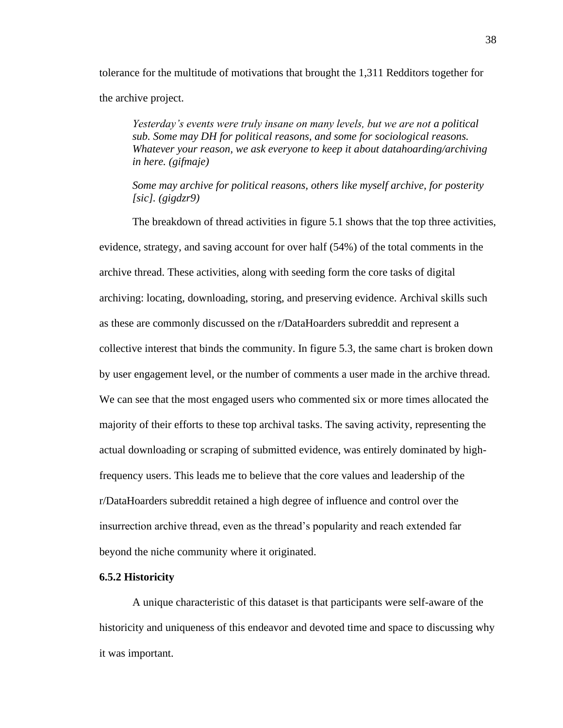tolerance for the multitude of motivations that brought the 1,311 Redditors together for the archive project.

*Yesterday's events were truly insane on many levels, but we are not a political sub. Some may DH for political reasons, and some for sociological reasons. Whatever your reason, we ask everyone to keep it about datahoarding/archiving in here. (gifmaje)*

*Some may archive for political reasons, others like myself archive, for posterity [sic]. (gigdzr9)*

The breakdown of thread activities in figure 5.1 shows that the top three activities, evidence, strategy, and saving account for over half (54%) of the total comments in the archive thread. These activities, along with seeding form the core tasks of digital archiving: locating, downloading, storing, and preserving evidence. Archival skills such as these are commonly discussed on the r/DataHoarders subreddit and represent a collective interest that binds the community. In figure 5.3, the same chart is broken down by user engagement level, or the number of comments a user made in the archive thread. We can see that the most engaged users who commented six or more times allocated the majority of their efforts to these top archival tasks. The saving activity, representing the actual downloading or scraping of submitted evidence, was entirely dominated by highfrequency users. This leads me to believe that the core values and leadership of the r/DataHoarders subreddit retained a high degree of influence and control over the insurrection archive thread, even as the thread's popularity and reach extended far beyond the niche community where it originated.

# **6.5.2 Historicity**

A unique characteristic of this dataset is that participants were self-aware of the historicity and uniqueness of this endeavor and devoted time and space to discussing why it was important.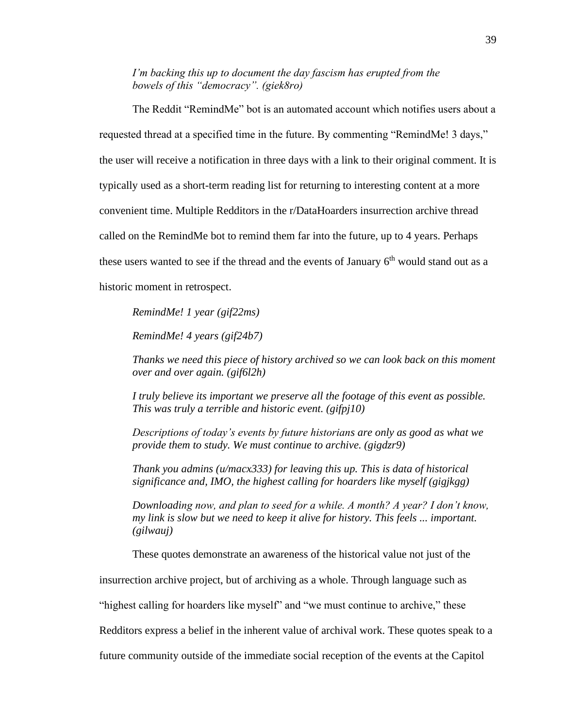*I'm backing this up to document the day fascism has erupted from the bowels of this "democracy". (giek8ro)*

The Reddit "RemindMe" bot is an automated account which notifies users about a requested thread at a specified time in the future. By commenting "RemindMe! 3 days," the user will receive a notification in three days with a link to their original comment. It is typically used as a short-term reading list for returning to interesting content at a more convenient time. Multiple Redditors in the r/DataHoarders insurrection archive thread called on the RemindMe bot to remind them far into the future, up to 4 years. Perhaps these users wanted to see if the thread and the events of January 6<sup>th</sup> would stand out as a historic moment in retrospect.

*RemindMe! 1 year (gif22ms)* 

*RemindMe! 4 years (gif24b7)*

*Thanks we need this piece of history archived so we can look back on this moment over and over again. (gif6l2h)*

*I truly believe its important we preserve all the footage of this event as possible. This was truly a terrible and historic event. (gifpj10)*

*Descriptions of today's events by future historians are only as good as what we provide them to study. We must continue to archive. (gigdzr9)*

*Thank you admins (u/macx333) for leaving this up. This is data of historical significance and, IMO, the highest calling for hoarders like myself (gigjkgg)*

*Downloading now, and plan to seed for a while. A month? A year? I don't know, my link is slow but we need to keep it alive for history. This feels ... important. (gilwauj)*

These quotes demonstrate an awareness of the historical value not just of the

insurrection archive project, but of archiving as a whole. Through language such as

"highest calling for hoarders like myself" and "we must continue to archive," these

Redditors express a belief in the inherent value of archival work. These quotes speak to a

future community outside of the immediate social reception of the events at the Capitol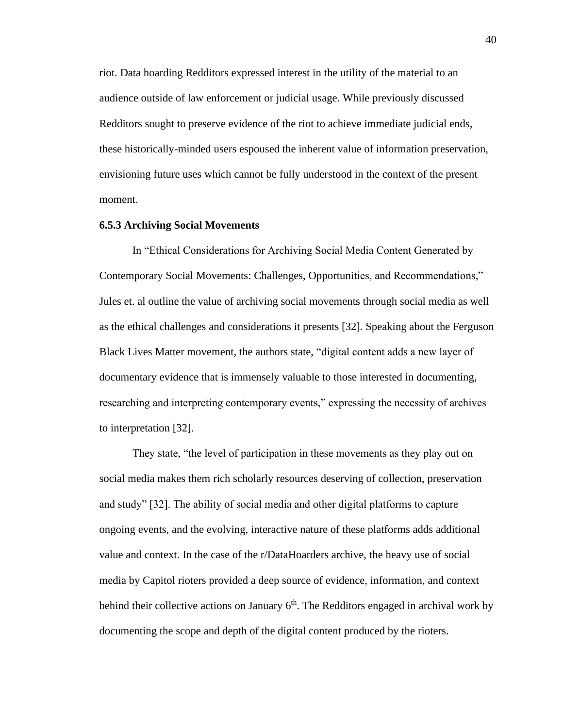riot. Data hoarding Redditors expressed interest in the utility of the material to an audience outside of law enforcement or judicial usage. While previously discussed Redditors sought to preserve evidence of the riot to achieve immediate judicial ends, these historically-minded users espoused the inherent value of information preservation, envisioning future uses which cannot be fully understood in the context of the present moment.

#### **6.5.3 Archiving Social Movements**

In "Ethical Considerations for Archiving Social Media Content Generated by Contemporary Social Movements: Challenges, Opportunities, and Recommendations," Jules et. al outline the value of archiving social movements through social media as well as the ethical challenges and considerations it presents [32]. Speaking about the Ferguson Black Lives Matter movement, the authors state, "digital content adds a new layer of documentary evidence that is immensely valuable to those interested in documenting, researching and interpreting contemporary events," expressing the necessity of archives to interpretation [32].

They state, "the level of participation in these movements as they play out on social media makes them rich scholarly resources deserving of collection, preservation and study" [32]. The ability of social media and other digital platforms to capture ongoing events, and the evolving, interactive nature of these platforms adds additional value and context. In the case of the r/DataHoarders archive, the heavy use of social media by Capitol rioters provided a deep source of evidence, information, and context behind their collective actions on January  $6<sup>th</sup>$ . The Redditors engaged in archival work by documenting the scope and depth of the digital content produced by the rioters.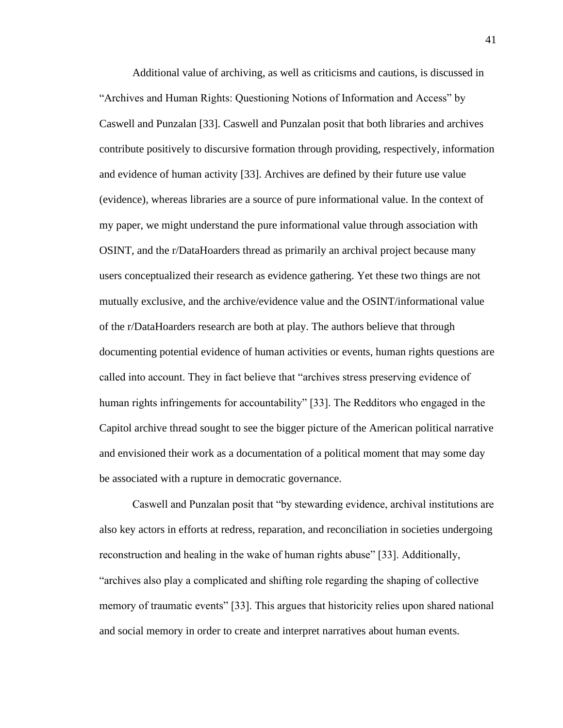Additional value of archiving, as well as criticisms and cautions, is discussed in "Archives and Human Rights: Questioning Notions of Information and Access" by Caswell and Punzalan [33]. Caswell and Punzalan posit that both libraries and archives contribute positively to discursive formation through providing, respectively, information and evidence of human activity [33]. Archives are defined by their future use value (evidence), whereas libraries are a source of pure informational value. In the context of my paper, we might understand the pure informational value through association with OSINT, and the r/DataHoarders thread as primarily an archival project because many users conceptualized their research as evidence gathering. Yet these two things are not mutually exclusive, and the archive/evidence value and the OSINT/informational value of the r/DataHoarders research are both at play. The authors believe that through documenting potential evidence of human activities or events, human rights questions are called into account. They in fact believe that "archives stress preserving evidence of human rights infringements for accountability" [33]. The Redditors who engaged in the Capitol archive thread sought to see the bigger picture of the American political narrative and envisioned their work as a documentation of a political moment that may some day be associated with a rupture in democratic governance.

Caswell and Punzalan posit that "by stewarding evidence, archival institutions are also key actors in efforts at redress, reparation, and reconciliation in societies undergoing reconstruction and healing in the wake of human rights abuse" [33]. Additionally, "archives also play a complicated and shifting role regarding the shaping of collective memory of traumatic events" [33]. This argues that historicity relies upon shared national and social memory in order to create and interpret narratives about human events.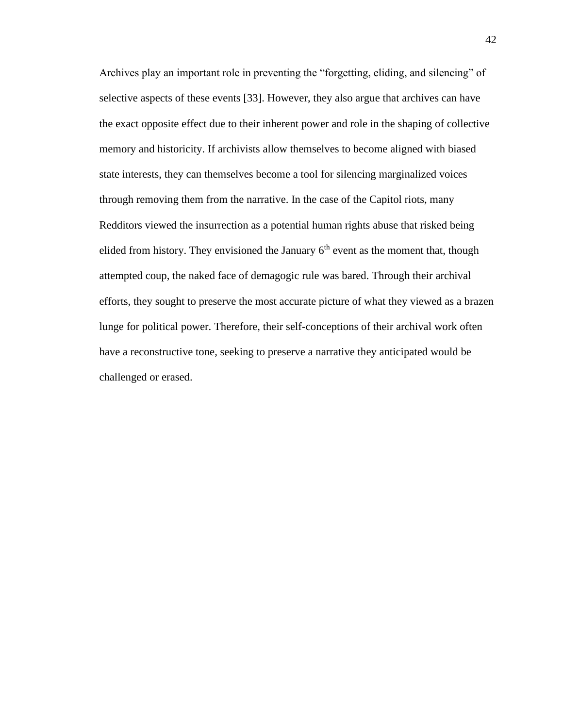Archives play an important role in preventing the "forgetting, eliding, and silencing" of selective aspects of these events [33]. However, they also argue that archives can have the exact opposite effect due to their inherent power and role in the shaping of collective memory and historicity. If archivists allow themselves to become aligned with biased state interests, they can themselves become a tool for silencing marginalized voices through removing them from the narrative. In the case of the Capitol riots, many Redditors viewed the insurrection as a potential human rights abuse that risked being elided from history. They envisioned the January  $6<sup>th</sup>$  event as the moment that, though attempted coup, the naked face of demagogic rule was bared. Through their archival efforts, they sought to preserve the most accurate picture of what they viewed as a brazen lunge for political power. Therefore, their self-conceptions of their archival work often have a reconstructive tone, seeking to preserve a narrative they anticipated would be challenged or erased.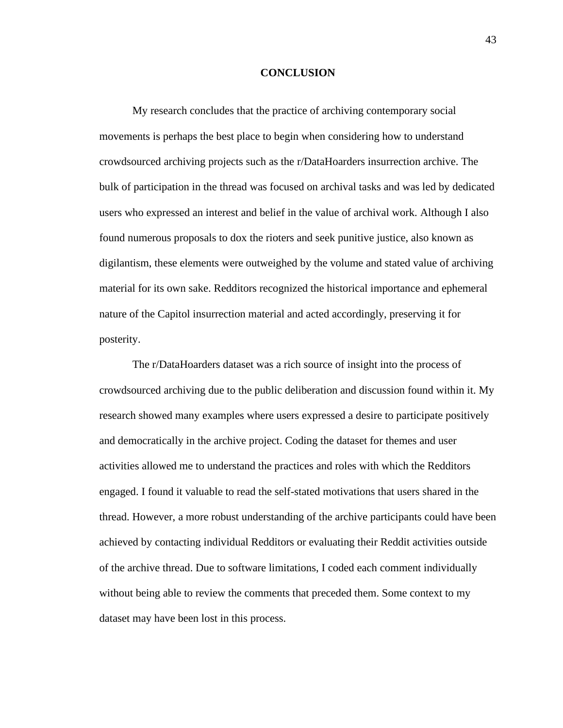# **CONCLUSION**

My research concludes that the practice of archiving contemporary social movements is perhaps the best place to begin when considering how to understand crowdsourced archiving projects such as the r/DataHoarders insurrection archive. The bulk of participation in the thread was focused on archival tasks and was led by dedicated users who expressed an interest and belief in the value of archival work. Although I also found numerous proposals to dox the rioters and seek punitive justice, also known as digilantism, these elements were outweighed by the volume and stated value of archiving material for its own sake. Redditors recognized the historical importance and ephemeral nature of the Capitol insurrection material and acted accordingly, preserving it for posterity.

The r/DataHoarders dataset was a rich source of insight into the process of crowdsourced archiving due to the public deliberation and discussion found within it. My research showed many examples where users expressed a desire to participate positively and democratically in the archive project. Coding the dataset for themes and user activities allowed me to understand the practices and roles with which the Redditors engaged. I found it valuable to read the self-stated motivations that users shared in the thread. However, a more robust understanding of the archive participants could have been achieved by contacting individual Redditors or evaluating their Reddit activities outside of the archive thread. Due to software limitations, I coded each comment individually without being able to review the comments that preceded them. Some context to my dataset may have been lost in this process.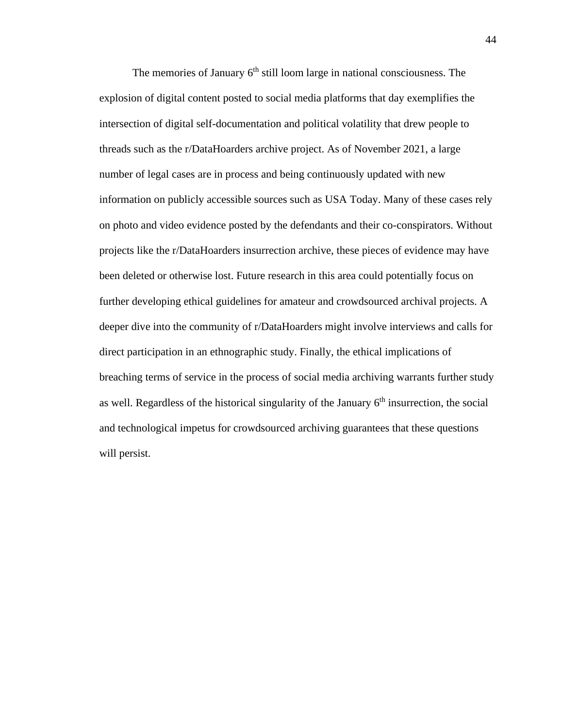The memories of January  $6<sup>th</sup>$  still loom large in national consciousness. The explosion of digital content posted to social media platforms that day exemplifies the intersection of digital self-documentation and political volatility that drew people to threads such as the r/DataHoarders archive project. As of November 2021, a large number of legal cases are in process and being continuously updated with new information on publicly accessible sources such as USA Today. Many of these cases rely on photo and video evidence posted by the defendants and their co-conspirators. Without projects like the r/DataHoarders insurrection archive, these pieces of evidence may have been deleted or otherwise lost. Future research in this area could potentially focus on further developing ethical guidelines for amateur and crowdsourced archival projects. A deeper dive into the community of r/DataHoarders might involve interviews and calls for direct participation in an ethnographic study. Finally, the ethical implications of breaching terms of service in the process of social media archiving warrants further study as well. Regardless of the historical singularity of the January  $6<sup>th</sup>$  insurrection, the social and technological impetus for crowdsourced archiving guarantees that these questions will persist.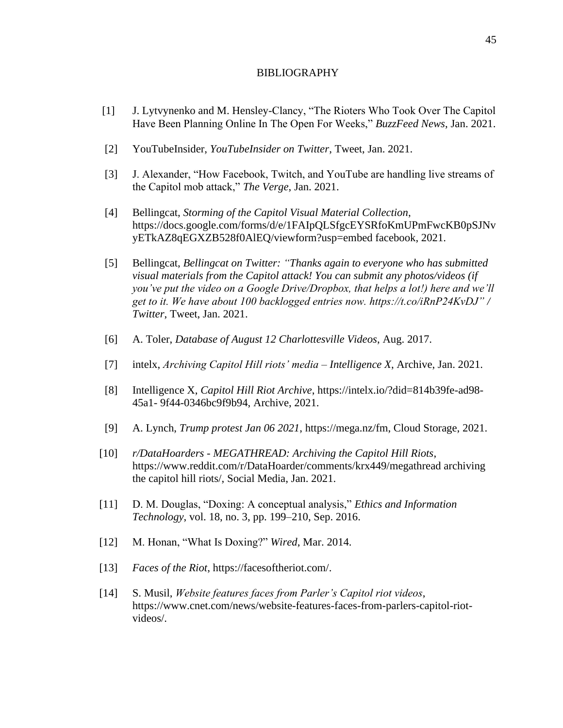# BIBLIOGRAPHY

- [1] J. Lytvynenko and M. Hensley-Clancy, "The Rioters Who Took Over The Capitol Have Been Planning Online In The Open For Weeks," *BuzzFeed News*, Jan. 2021.
- [2] YouTubeInsider, *YouTubeInsider on Twitter*, Tweet, Jan. 2021.
- [3] J. Alexander, "How Facebook, Twitch, and YouTube are handling live streams of the Capitol mob attack," *The Verge*, Jan. 2021.
- [4] Bellingcat, *Storming of the Capitol Visual Material Collection*, https://docs.google.com/forms/d/e/1FAIpQLSfgcEYSRfoKmUPmFwcKB0pSJNv yETkAZ8qEGXZB528f0AlEQ/viewform?usp=embed facebook, 2021.
- [5] Bellingcat, *Bellingcat on Twitter: "Thanks again to everyone who has submitted visual materials from the Capitol attack! You can submit any photos/videos (if you've put the video on a Google Drive/Dropbox, that helps a lot!) here and we'll get to it. We have about 100 backlogged entries now. https://t.co/iRnP24KvDJ" / Twitter*, Tweet, Jan. 2021.
- [6] A. Toler, *Database of August 12 Charlottesville Videos*, Aug. 2017.
- [7] intelx, *Archiving Capitol Hill riots' media – Intelligence X*, Archive, Jan. 2021.
- [8] Intelligence X, *Capitol Hill Riot Archive*, https://intelx.io/?did=814b39fe-ad98- 45a1- 9f44-0346bc9f9b94, Archive, 2021.
- [9] A. Lynch, *Trump protest Jan 06 2021*, https://mega.nz/fm, Cloud Storage, 2021.
- [10] *r/DataHoarders - MEGATHREAD: Archiving the Capitol Hill Riots*, https://www.reddit.com/r/DataHoarder/comments/krx449/megathread archiving the capitol hill riots/, Social Media, Jan. 2021.
- [11] D. M. Douglas, "Doxing: A conceptual analysis," *Ethics and Information Technology*, vol. 18, no. 3, pp. 199–210, Sep. 2016.
- [12] M. Honan, "What Is Doxing?" *Wired*, Mar. 2014.
- [13] *Faces of the Riot*, https://facesoftheriot.com/.
- [14] S. Musil, *Website features faces from Parler's Capitol riot videos*, https://www.cnet.com/news/website-features-faces-from-parlers-capitol-riotvideos/.